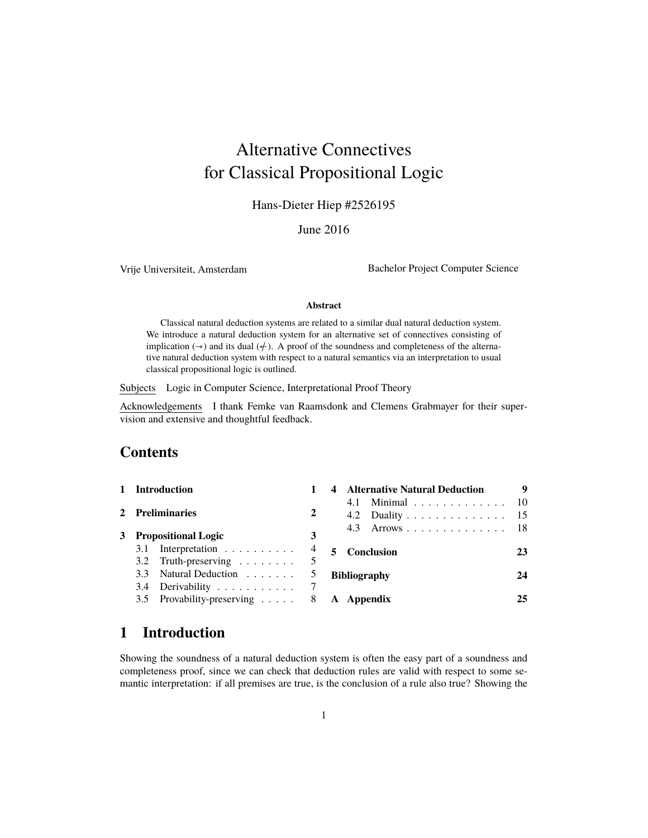# Alternative Connectives for Classical Propositional Logic

Hans-Dieter Hiep #2526195

June 2016

Vrije Universiteit, Amsterdam Bachelor Project Computer Science

#### **Abstract**

Classical natural deduction systems are related to a similar dual natural deduction system. We introduce a natural deduction system for an alternative set of connectives consisting of implication ( $\rightarrow$ ) and its dual ( $\neq$ ). A proof of the soundness and completeness of the alternative natural deduction system with respect to a natural semantics via an interpretation to usual classical propositional logic is outlined.

Subjects Logic in Computer Science, Interpretational Proof Theory

Acknowledgements I thank Femke van Raamsdonk and Clemens Grabmayer for their supervision and extensive and thoughtful feedback.

### **Contents**

| 1 Introduction                            |                | <b>Alternative Natural Deduction</b> |    |  |
|-------------------------------------------|----------------|--------------------------------------|----|--|
|                                           | 2              | 4.1 Minimal 10                       |    |  |
| 2 Preliminaries                           |                | 4.2 Duality 15                       |    |  |
| 3 Propositional Logic                     | 3              | 4.3 Arrows 18                        |    |  |
| 3.1 Interpretation $\ldots \ldots \ldots$ | $\overline{4}$ | <b>Conclusion</b>                    | 23 |  |
| 3.2 Truth-preserving $\ldots \ldots$      |                |                                      |    |  |
| 3.3 Natural Deduction                     |                | <b>Bibliography</b>                  | 24 |  |
| 3.4 Derivability                          |                |                                      |    |  |
| 3.5 Provability-preserving 8 A Appendix   |                |                                      | 25 |  |

### **1 Introduction**

Showing the soundness of a natural deduction system is often the easy part of a soundness and completeness proof, since we can check that deduction rules are valid with respect to some semantic interpretation: if all premises are true, is the conclusion of a rule also true? Showing the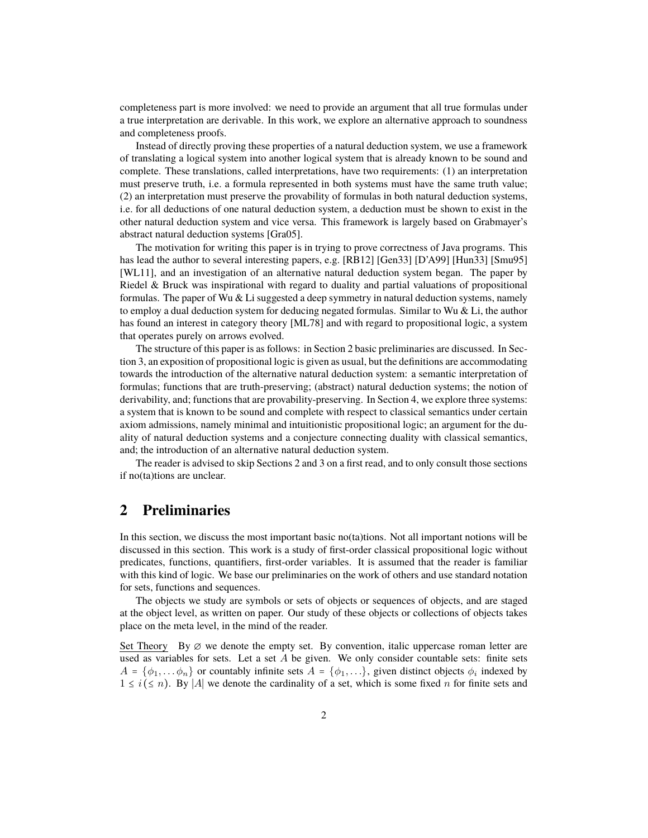completeness part is more involved: we need to provide an argument that all true formulas under a true interpretation are derivable. In this work, we explore an alternative approach to soundness and completeness proofs.

Instead of directly proving these properties of a natural deduction system, we use a framework of translating a logical system into another logical system that is already known to be sound and complete. These translations, called interpretations, have two requirements: (1) an interpretation must preserve truth, i.e. a formula represented in both systems must have the same truth value; (2) an interpretation must preserve the provability of formulas in both natural deduction systems, i.e. for all deductions of one natural deduction system, a deduction must be shown to exist in the other natural deduction system and vice versa. This framework is largely based on Grabmayer's abstract natural deduction systems [Gra05].

The motivation for writing this paper is in trying to prove correctness of Java programs. This has lead the author to several interesting papers, e.g. [RB12] [Gen33] [D'A99] [Hun33] [Smu95] [WL11], and an investigation of an alternative natural deduction system began. The paper by Riedel & Bruck was inspirational with regard to duality and partial valuations of propositional formulas. The paper of Wu  $&$  Li suggested a deep symmetry in natural deduction systems, namely to employ a dual deduction system for deducing negated formulas. Similar to Wu  $\&$  Li, the author has found an interest in category theory [ML78] and with regard to propositional logic, a system that operates purely on arrows evolved.

The structure of this paper is as follows: in Section 2 basic preliminaries are discussed. In Section 3, an exposition of propositional logic is given as usual, but the definitions are accommodating towards the introduction of the alternative natural deduction system: a semantic interpretation of formulas; functions that are truth-preserving; (abstract) natural deduction systems; the notion of derivability, and; functions that are provability-preserving. In Section 4, we explore three systems: a system that is known to be sound and complete with respect to classical semantics under certain axiom admissions, namely minimal and intuitionistic propositional logic; an argument for the duality of natural deduction systems and a conjecture connecting duality with classical semantics, and; the introduction of an alternative natural deduction system.

The reader is advised to skip Sections 2 and 3 on a first read, and to only consult those sections if no(ta)tions are unclear.

### **2 Preliminaries**

In this section, we discuss the most important basic no(ta)tions. Not all important notions will be discussed in this section. This work is a study of first-order classical propositional logic without predicates, functions, quantifiers, first-order variables. It is assumed that the reader is familiar with this kind of logic. We base our preliminaries on the work of others and use standard notation for sets, functions and sequences.

The objects we study are symbols or sets of objects or sequences of objects, and are staged at the object level, as written on paper. Our study of these objects or collections of objects takes place on the meta level, in the mind of the reader.

Set Theory By  $\varnothing$  we denote the empty set. By convention, italic uppercase roman letter are used as variables for sets. Let a set  $A$  be given. We only consider countable sets: finite sets  $A = \{\phi_1, \dots \phi_n\}$  or countably infinite sets  $A = \{\phi_1, \dots\}$ , given distinct objects  $\phi_i$  indexed by  $1 \leq i \leq n$ ). By |A| we denote the cardinality of a set, which is some fixed n for finite sets and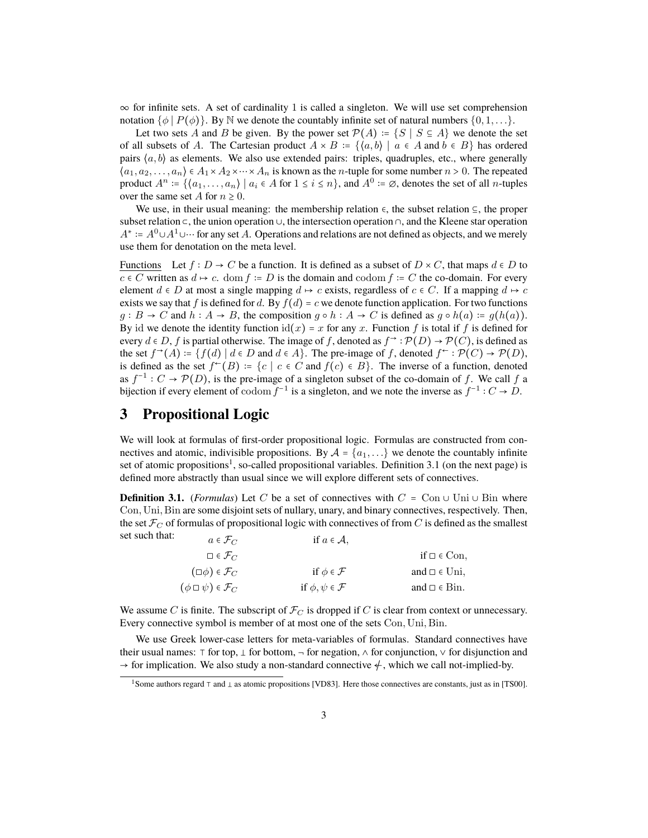$\infty$  for infinite sets. A set of cardinality 1 is called a singleton. We will use set comprehension notation  $\{\phi \mid P(\phi)\}$ . By N we denote the countably infinite set of natural numbers  $\{0, 1, \ldots\}$ .

Let two sets A and B be given. By the power set  $\mathcal{P}(A) = \{S \mid S \subseteq A\}$  we denote the set of all subsets of A. The Cartesian product  $A \times B := \{ \langle a, b \rangle \mid a \in A \text{ and } b \in B \}$  has ordered pairs  $(a, b)$  as elements. We also use extended pairs: triples, quadruples, etc., where generally  $\langle a_1, a_2, \ldots, a_n \rangle \in A_1 \times A_2 \times \cdots \times A_n$  is known as the *n*-tuple for some number  $n > 0$ . The repeated product  $A^n := \{(a_1, \ldots, a_n) \mid a_i \in A \text{ for } 1 \le i \le n\}$ , and  $A^0 := \emptyset$ , denotes the set of all *n*-tuples over the same set A for  $n \geq 0$ .

We use, in their usual meaning: the membership relation  $\epsilon$ , the subset relation  $\epsilon$ , the proper subset relation ⊂, the union operation ∪, the intersection operation ∩, and the Kleene star operation  $A^*$  :=  $A^0 \cup A^1 \cup \cdots$  for any set A. Operations and relations are not defined as objects, and we merely use them for denotation on the meta level.

Functions Let  $f : D \to C$  be a function. It is defined as a subset of  $D \times C$ , that maps  $d \in D$  to  $c \in C$  written as  $d \mapsto c$ . dom  $f := D$  is the domain and codom  $f := C$  the co-domain. For every element  $d \in D$  at most a single mapping  $d \mapsto c$  exists, regardless of  $c \in C$ . If a mapping  $d \mapsto c$ exists we say that f is defined for d. By  $f(d) = c$  we denote function application. For two functions  $g : B \to C$  and  $h : A \to B$ , the composition  $g \circ h : A \to C$  is defined as  $g \circ h(a) := g(h(a))$ . By id we denote the identity function  $id(x) = x$  for any x. Function f is total if f is defined for every  $d \in D$ , f is partial otherwise. The image of f, denoted as  $f^{\rightarrow} : \mathcal{P}(D) \rightarrow \mathcal{P}(C)$ , is defined as the set  $f^{\rightarrow}(A) = \{f(d) | d \in D \text{ and } d \in A\}$ . The pre-image of f, denoted  $f^{\leftarrow} : \mathcal{P}(C) \rightarrow \mathcal{P}(D)$ , is defined as the set  $f^{\leftarrow}(B) := \{c \mid c \in C \text{ and } f(c) \in B\}$ . The inverse of a function, denoted as  $f^{-1}: C \to \mathcal{P}(D)$ , is the pre-image of a singleton subset of the co-domain of f. We call f a bijection if every element of  $\text{codom } f^{-1}$  is a singleton, and we note the inverse as  $f^{-1}: C \to D$ .

### **3 Propositional Logic**

We will look at formulas of first-order propositional logic. Formulas are constructed from connectives and atomic, indivisible propositions. By  $A = \{a_1, ...\}$  we denote the countably infinite set of atomic propositions<sup>1</sup>, so-called propositional variables. Definition 3.1 (on the next page) is defined more abstractly than usual since we will explore different sets of connectives.

**Definition 3.1.** (*Formulas*) Let C be a set of connectives with  $C = \text{Con} \cup \text{Uni} \cup \text{Bin}$  where Con,Uni, Bin are some disjoint sets of nullary, unary, and binary connectives, respectively. Then, the set  $\mathcal{F}_C$  of formulas of propositional logic with connectives of from C is defined as the smallest set such that:

| $a \in \mathcal{F}_C$                | 11 $a \in \mathcal{A}$ ,        |                              |
|--------------------------------------|---------------------------------|------------------------------|
| $\square \in \mathcal{F}_C$          |                                 | if $\Box \in \mathrm{Con}$ , |
| $(\Box \phi) \in \mathcal{F}_C$      | if $\phi \in \mathcal{F}$       | and $\Box \in \text{Uni}$ ,  |
| $(\phi \Box \psi) \in \mathcal{F}_C$ | if $\phi, \psi \in \mathcal{F}$ | and $\Box \in \text{Bin}$ .  |

We assume C is finite. The subscript of  $\mathcal{F}_C$  is dropped if C is clear from context or unnecessary. Every connective symbol is member of at most one of the sets Con,Uni, Bin.

We use Greek lower-case letters for meta-variables of formulas. Standard connectives have their usual names: ⊤ for top,  $\perp$  for bottom,  $\neg$  for negation,  $\wedge$  for conjunction,  $\vee$  for disjunction and  $\rightarrow$  for implication. We also study a non-standard connective  $\neq$ , which we call not-implied-by.

<sup>&</sup>lt;sup>1</sup>Some authors regard  $\top$  and  $\bot$  as atomic propositions [VD83]. Here those connectives are constants, just as in [TS00].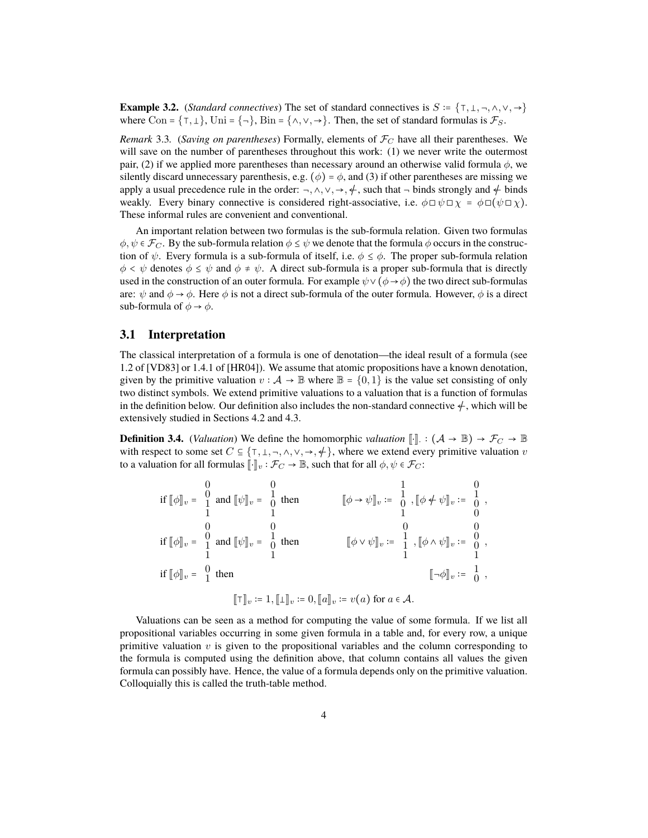**Example 3.2.** (*Standard connectives*) The set of standard connectives is  $S := \{T, \dots, \wedge, \vee, \rightarrow\}$ where Con =  $\{\tau, \bot\}$ , Uni =  $\{\neg\}$ , Bin =  $\{\wedge, \vee, \rightarrow\}$ . Then, the set of standard formulas is  $\mathcal{F}_S$ .

*Remark* 3.3*.* (*Saving on parentheses*) Formally, elements of  $\mathcal{F}_C$  have all their parentheses. We will save on the number of parentheses throughout this work: (1) we never write the outermost pair, (2) if we applied more parentheses than necessary around an otherwise valid formula  $\phi$ , we silently discard unnecessary parenthesis, e.g. ( $\phi$ ) =  $\phi$ , and (3) if other parentheses are missing we apply a usual precedence rule in the order:  $\neg, \wedge, \vee, \rightarrow, \neq$ , such that  $\neg$  binds strongly and  $\notin$  binds weakly. Every binary connective is considered right-associative, i.e.  $\phi \Box \psi \Box \chi = \phi \Box (\psi \Box \chi)$ . These informal rules are convenient and conventional.

An important relation between two formulas is the sub-formula relation. Given two formulas  $\phi, \psi \in \mathcal{F}_C$ . By the sub-formula relation  $\phi \leq \psi$  we denote that the formula  $\phi$  occurs in the construction of  $\psi$ . Every formula is a sub-formula of itself, i.e.  $\phi \leq \phi$ . The proper sub-formula relation  $\phi < \psi$  denotes  $\phi \leq \psi$  and  $\phi \neq \psi$ . A direct sub-formula is a proper sub-formula that is directly used in the construction of an outer formula. For example  $\psi \vee (\phi \rightarrow \phi)$  the two direct sub-formulas are:  $\psi$  and  $\phi \rightarrow \phi$ . Here  $\phi$  is not a direct sub-formula of the outer formula. However,  $\phi$  is a direct sub-formula of  $\phi \rightarrow \phi$ .

#### **3.1 Interpretation**

The classical interpretation of a formula is one of denotation—the ideal result of a formula (see 1.2 of [VD83] or 1.4.1 of [HR04]). We assume that atomic propositions have a known denotation, given by the primitive valuation  $v : \mathcal{A} \to \mathbb{B}$  where  $\mathbb{B} = \{0,1\}$  is the value set consisting of only two distinct symbols. We extend primitive valuations to a valuation that is a function of formulas in the definition below. Our definition also includes the non-standard connective  $\neq$ , which will be extensively studied in Sections 4.2 and 4.3.

**Definition 3.4.** (*Valuation*) We define the homomorphic *valuation* [[·]. :  $(A \rightarrow \mathbb{B}) \rightarrow \mathcal{F}_C \rightarrow \mathbb{B}$ <br>with respect to some set  $C \subseteq \{\pm 1, \ldots, \pm 1\}$ , where we extend every primitive valuation as with respect to some set  $C \subseteq \{T, \bot, \neg, \wedge, \vee, \rightarrow, \div\}$ , where we extend every primitive valuation v to a valuation for all formulas  $\llbracket \cdot \rrbracket_v : \mathcal{F}_C \to \mathbb{B}$ , such that for all  $\phi, \psi \in \mathcal{F}_C$ :

$$
\begin{array}{lll}\n\text{if } [\![\phi]\!]_v = \begin{array}{ccc} 0 & 0 & 0 \\ 1 & \text{and } [\![\psi]\!]_v = \begin{array}{ccc} 0 & 0 & 1 \\ 1 & 1 & 0 \end{array} \\
\text{if } [\![\phi]\!]_v = \begin{array}{ccc} 0 & 0 & 0 \\ 1 & \text{and } [\![\psi]\!]_v = \begin{array}{ccc} 0 & 0 & 0 \\ 0 & 0 & 0 \\ 1 & 1 & 1 \end{array} \\
\text{if } [\![\phi]\!]_v = \begin{array}{ccc} 0 & \text{and } [\![\psi]\!]_v = \begin{array}{ccc} 1 & \text{then} & [\![\phi \vee \psi]\!]_v := \begin{array}{ccc} 1 & \text{and} & 0 \\ 1 & \text{and} & 0 \end{array} \\
\text{if } [\![\phi]\!]_v = \begin{array}{ccc} 0 & \text{then} & [\![\phi \vee \psi]\!]_v := \begin{array}{ccc} 1 & \text{and} & 0 \\ 1 & \text{and} & 1 \end{array} \\
\text{if } [\![\phi]\!]_v = \begin{array}{ccc} 0 & \text{then} & [\![\neg \phi]\!]_v := \begin{array}{ccc} 0 & \text{and} & 0 \\ 1 & \text{and} & 1 \end{array} \\
\text{if } [\![\phi]\!]_v := 1, [\![\bot]\!]_v := 0, [\![a]\!]_v := v(a) \text{ for } a \in \mathcal{A}.\n\end{array}\n\end{array}
$$

Valuations can be seen as a method for computing the value of some formula. If we list all propositional variables occurring in some given formula in a table and, for every row, a unique primitive valuation  $v$  is given to the propositional variables and the column corresponding to the formula is computed using the definition above, that column contains all values the given formula can possibly have. Hence, the value of a formula depends only on the primitive valuation. Colloquially this is called the truth-table method.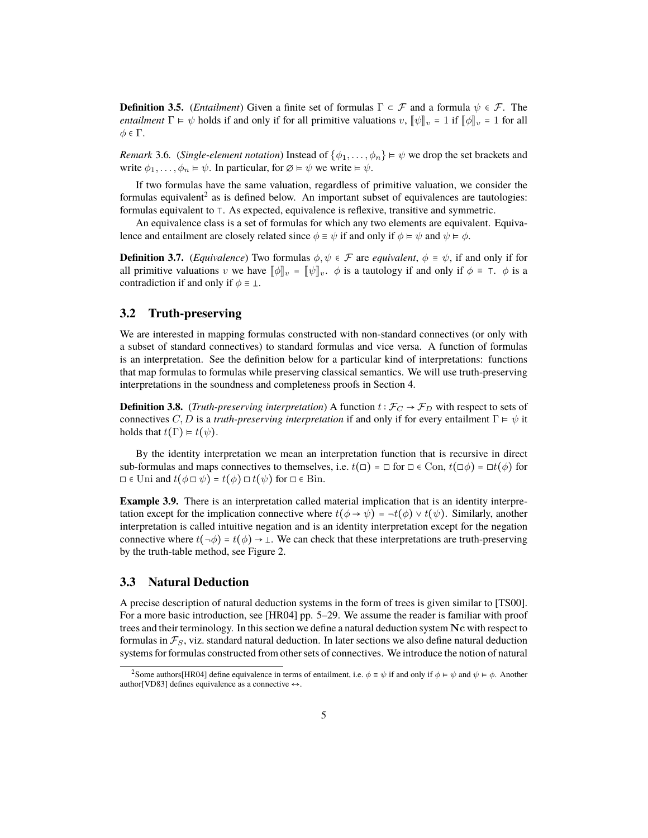**Definition 3.5.** (*Entailment*) Given a finite set of formulas  $\Gamma \subset \mathcal{F}$  and a formula  $\psi \in \mathcal{F}$ . The *entailment*  $\Gamma \vDash \psi$  holds if and only if for all primitive valuations  $v, \|\psi\|_v = 1$  if  $\|\phi\|_v = 1$  for all  $\phi \in \Gamma$ .

*Remark* 3.6*.* (*Single-element notation*) Instead of  $\{\phi_1, \dots, \phi_n\} \models \psi$  we drop the set brackets and write  $\phi_1, \ldots, \phi_n \models \psi$ . In particular, for  $\emptyset \models \psi$  we write  $\models \psi$ .

If two formulas have the same valuation, regardless of primitive valuation, we consider the formulas equivalent<sup>2</sup> as is defined below. An important subset of equivalences are tautologies: formulas equivalent to ⊺. As expected, equivalence is reflexive, transitive and symmetric.

An equivalence class is a set of formulas for which any two elements are equivalent. Equivalence and entailment are closely related since  $\phi \equiv \psi$  if and only if  $\phi \models \psi$  and  $\psi \models \phi$ .

**Definition 3.7.** (*Equivalence*) Two formulas  $\phi, \psi \in \mathcal{F}$  are *equivalent*,  $\phi \equiv \psi$ , if and only if for all primitive valuations v we have  $\llbracket \phi \rrbracket_v = \llbracket \psi \rrbracket_v$ .  $\phi$  is a tautology if and only if  $\phi \equiv \top$ .  $\phi$  is a contradiction if and only if  $\phi \equiv \bot$ .

### **3.2 Truth-preserving**

We are interested in mapping formulas constructed with non-standard connectives (or only with a subset of standard connectives) to standard formulas and vice versa. A function of formulas is an interpretation. See the definition below for a particular kind of interpretations: functions that map formulas to formulas while preserving classical semantics. We will use truth-preserving interpretations in the soundness and completeness proofs in Section 4.

**Definition 3.8.** (*Truth-preserving interpretation*) A function  $t : \mathcal{F}_C \to \mathcal{F}_D$  with respect to sets of connectives C, D is a *truth-preserving interpretation* if and only if for every entailment  $\Gamma \models \psi$  it holds that  $t(\Gamma) \models t(\psi)$ .

By the identity interpretation we mean an interpretation function that is recursive in direct sub-formulas and maps connectives to themselves, i.e.  $t(\square) = \square$  for  $\square \in \text{Con}$ ,  $t(\square \phi) = \square t(\phi)$  for  $\Box \in$  Uni and  $t(\phi \Box \psi) = t(\phi) \Box t(\psi)$  for  $\Box \in$  Bin.

**Example 3.9.** There is an interpretation called material implication that is an identity interpretation except for the implication connective where  $t(\phi \rightarrow \psi) = \neg t(\phi) \vee t(\psi)$ . Similarly, another interpretation is called intuitive negation and is an identity interpretation except for the negation connective where  $t(\neg \phi) = t(\phi) \rightarrow \bot$ . We can check that these interpretations are truth-preserving by the truth-table method, see Figure 2.

### **3.3 Natural Deduction**

A precise description of natural deduction systems in the form of trees is given similar to [TS00]. For a more basic introduction, see [HR04] pp. 5–29. We assume the reader is familiar with proof trees and their terminology. In this section we define a natural deduction system Nc with respect to formulas in  $\mathcal{F}_S$ , viz. standard natural deduction. In later sections we also define natural deduction systems for formulas constructed from other sets of connectives. We introduce the notion of natural

<sup>&</sup>lt;sup>2</sup>Some authors[HR04] define equivalence in terms of entailment, i.e.  $\phi = \psi$  if and only if  $\phi \models \psi$  and  $\psi \models \phi$ . Another author[VD83] defines equivalence as a connective  $\leftrightarrow$ .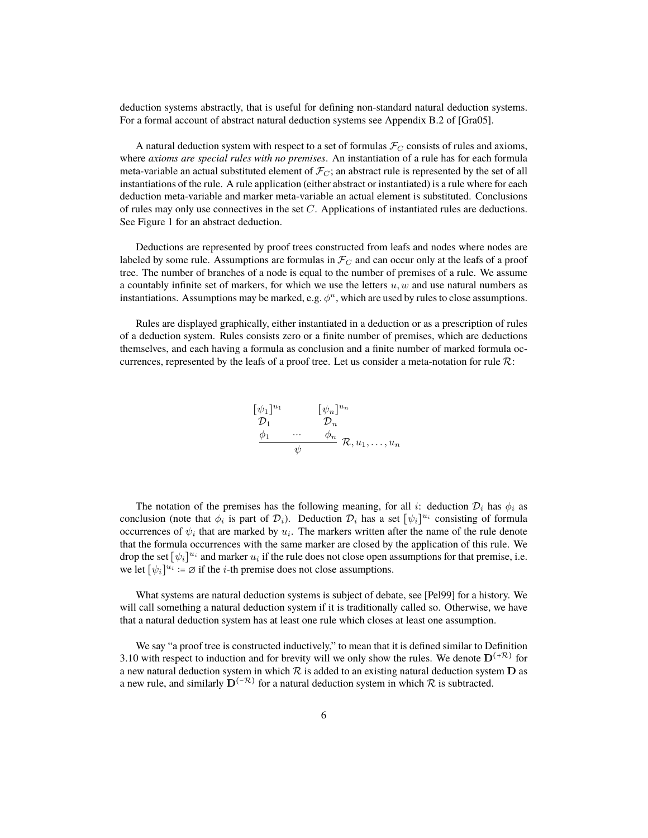deduction systems abstractly, that is useful for defining non-standard natural deduction systems. For a formal account of abstract natural deduction systems see Appendix B.2 of [Gra05].

A natural deduction system with respect to a set of formulas  $\mathcal{F}_C$  consists of rules and axioms, where *axioms are special rules with no premises*. An instantiation of a rule has for each formula meta-variable an actual substituted element of  $\mathcal{F}_C$ ; an abstract rule is represented by the set of all instantiations of the rule. A rule application (either abstract or instantiated) is a rule where for each deduction meta-variable and marker meta-variable an actual element is substituted. Conclusions of rules may only use connectives in the set C. Applications of instantiated rules are deductions. See Figure 1 for an abstract deduction.

Deductions are represented by proof trees constructed from leafs and nodes where nodes are labeled by some rule. Assumptions are formulas in  $\mathcal{F}_C$  and can occur only at the leafs of a proof tree. The number of branches of a node is equal to the number of premises of a rule. We assume a countably infinite set of markers, for which we use the letters  $u, w$  and use natural numbers as instantiations. Assumptions may be marked, e.g.  $\phi^u$ , which are used by rules to close assumptions.

Rules are displayed graphically, either instantiated in a deduction or as a prescription of rules of a deduction system. Rules consists zero or a finite number of premises, which are deductions themselves, and each having a formula as conclusion and a finite number of marked formula occurrences, represented by the leafs of a proof tree. Let us consider a meta-notation for rule  $\mathcal{R}$ :

$$
\begin{array}{ll}\n[\psi_1]^{u_1} & [\psi_n]^{u_n} \\
\mathcal{D}_1 & \mathcal{D}_n \\
\underline{\phi_1} & \cdots & \underline{\phi_n} \\
\psi & \mathcal{R}, u_1, \ldots, u_n\n\end{array}
$$

The notation of the premises has the following meaning, for all i: deduction  $\mathcal{D}_i$  has  $\phi_i$  as conclusion (note that  $\phi_i$  is part of  $\mathcal{D}_i$ ). Deduction  $\mathcal{D}_i$  has a set  $[\psi_i]^{u_i}$  consisting of formula occurrences of  $\psi_i$  that are marked by  $u_i$ . The markers written after the name of the rule denote that the formula occurrences with the same marker are closed by the application of this rule. We drop the set  $[\psi_i]^{u_i}$  and marker  $u_i$  if the rule does not close open assumptions for that premise, i.e. we let  $[\psi_i]^{u_i} := \emptyset$  if the *i*-th premise does not close assumptions.

What systems are natural deduction systems is subject of debate, see [Pel99] for a history. We will call something a natural deduction system if it is traditionally called so. Otherwise, we have that a natural deduction system has at least one rule which closes at least one assumption.

We say "a proof tree is constructed inductively," to mean that it is defined similar to Definition 3.10 with respect to induction and for brevity will we only show the rules. We denote  $D^{(+\mathcal{R})}$  for a new natural deduction system in which  $R$  is added to an existing natural deduction system  $D$  as a new rule, and similarly  $\mathbf{D}^{(-\mathcal{R})}$  for a natural deduction system in which  $\mathcal R$  is subtracted.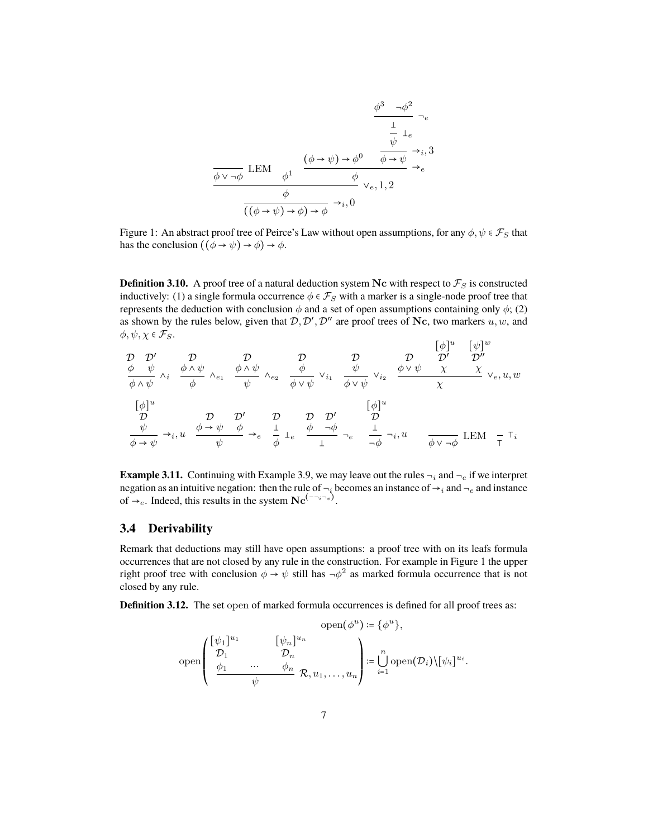$$
\frac{\phi^3 \to \phi^2}{\frac{1}{\psi} \downarrow_e}
$$
\n
$$
\frac{\frac{1}{\psi} \downarrow_e}{\frac{1}{\phi} \vee \neg \phi} \text{ LEM } \frac{(\phi \to \psi) \to \phi^0 \quad \frac{\psi}{\phi \to \psi} \to_{i,3}^3}{\frac{\phi}{((\phi \to \psi) \to \phi) \to \phi} \to_{i,0}^1}
$$

Figure 1: An abstract proof tree of Peirce's Law without open assumptions, for any  $\phi, \psi \in \mathcal{F}_S$  that has the conclusion  $((\phi \rightarrow \psi) \rightarrow \phi) \rightarrow \phi$ .

**Definition 3.10.** A proof tree of a natural deduction system Nc with respect to  $\mathcal{F}_S$  is constructed inductively: (1) a single formula occurrence  $\phi \in \mathcal{F}_S$  with a marker is a single-node proof tree that represents the deduction with conclusion  $\phi$  and a set of open assumptions containing only  $\phi$ ; (2) as shown by the rules below, given that  $D, D', D''$  are proof trees of Nc, two markers  $u, w$ , and  $\phi, \psi, \chi \in \mathcal{F}_S$ .

D φ D′ ψ φ ∧ ψ ∧i D φ ∧ ψ φ ∧e<sup>1</sup> D φ ∧ ψ ψ ∧e<sup>2</sup> D φ φ ∨ ψ ∨i<sup>1</sup> D ψ φ ∨ ψ ∨i<sup>2</sup> D φ ∨ ψ [φ] u [ψ] w D′ χ D′′ χ χ ∨e, u, w [φ] u D ψ φ → ψ →i , u D φ → ψ D′ φ ψ →e D φ e D φ D′ ¬φ ¬e [φ] u D ¬φ ¬i , u φ ∨ ¬φ LEM ⊺ ⊺i

**Example 3.11.** Continuing with Example 3.9, we may leave out the rules  $\neg_i$  and  $\neg_e$  if we interpret negation as an intuitive negation: then the rule of  $\neg_i$  becomes an instance of  $\neg_i$  and  $\neg_e$  and instance of  $\rightarrow_e$ . Indeed, this results in the system  $Nc^{(-\rightarrow_i -e)}$ .

### **3.4 Derivability**

Remark that deductions may still have open assumptions: a proof tree with on its leafs formula occurrences that are not closed by any rule in the construction. For example in Figure 1 the upper right proof tree with conclusion  $\phi \to \psi$  still has  $\neg \phi^2$  as marked formula occurrence that is not closed by any rule.

**Definition 3.12.** The set open of marked formula occurrences is defined for all proof trees as:

$$
\text{open}(\phi^u) \coloneqq \{\phi^u\},
$$
  
open
$$
\begin{pmatrix} [\psi_1]^{u_1} & [\psi_n]^{u_n} \\ \mathcal{D}_1 & \mathcal{D}_n \\ \frac{\phi_1}{\psi} & \cdots & \phi_n \\ \frac{\phi_1}{\psi} & \mathcal{R}, u_1, \ldots, u_n \end{pmatrix} \coloneqq \bigcup_{i=1}^n \text{open}(\mathcal{D}_i) \setminus [\psi_i]^{u_i}.
$$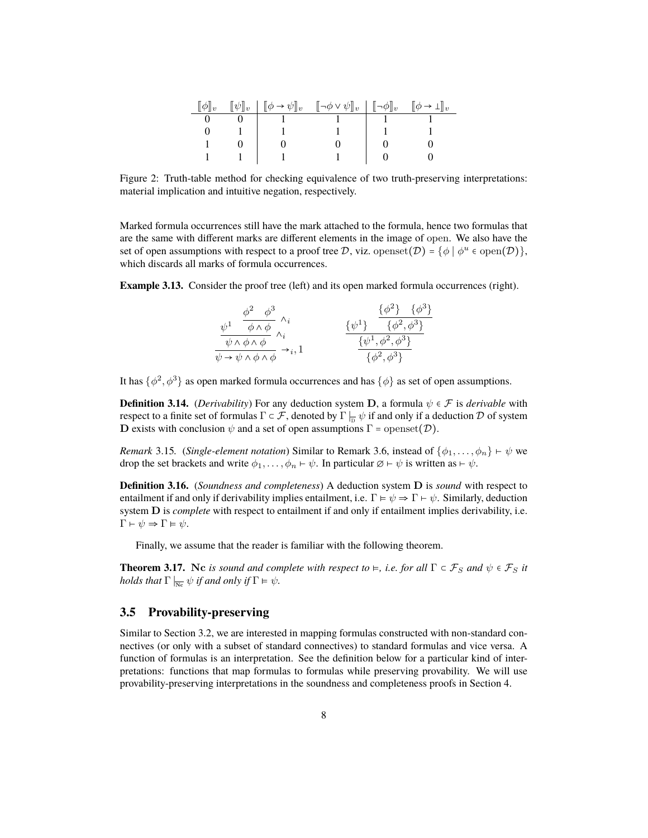| $\llbracket \psi \rrbracket_v$ | $[\![\phi \to \psi]\!]_v \quad [\![\neg \phi \lor \psi]\!]_v \mid [\![\neg \phi]\!]_v \quad [\![\phi \to \bot]\!]_v$ |  |
|--------------------------------|----------------------------------------------------------------------------------------------------------------------|--|
|                                |                                                                                                                      |  |
|                                |                                                                                                                      |  |
|                                |                                                                                                                      |  |
|                                |                                                                                                                      |  |

Figure 2: Truth-table method for checking equivalence of two truth-preserving interpretations: material implication and intuitive negation, respectively.

Marked formula occurrences still have the mark attached to the formula, hence two formulas that are the same with different marks are different elements in the image of open. We also have the set of open assumptions with respect to a proof tree D, viz. openset $(\mathcal{D}) = \{ \phi \mid \phi^u \in \text{open}(\mathcal{D}) \},$ which discards all marks of formula occurrences.

**Example 3.13.** Consider the proof tree (left) and its open marked formula occurrences (right).

| $\phi^2$ $\phi^3$                                                         | $\{\phi^2\}$ $\{\phi^3\}$            |
|---------------------------------------------------------------------------|--------------------------------------|
| $\overline{\phi \wedge \phi}$                                             | $\{\phi^2, \phi^3\}$<br>$\{\psi^1\}$ |
| $\overline{\psi \wedge \phi \wedge \phi}$                                 | $\{\psi^1, \phi^2, \phi^3\}$         |
| $\psi \rightarrow \psi \land \phi \overline{\land \phi} \rightarrow i, 1$ | $\{\phi^2,\phi^3\}$                  |

It has  $\{\phi^2,\phi^3\}$  as open marked formula occurrences and has  $\{\phi\}$  as set of open assumptions.

**Definition 3.14.** (*Derivability*) For any deduction system **D**, a formula  $\psi \in \mathcal{F}$  is *derivable* with respect to a finite set of formulas  $\Gamma\in\mathcal F,$  denoted by  $\Gamma\mid_{\overline{\mathbb D}}\psi$  if and only if a deduction  $\mathcal D$  of system **D** exists with conclusion  $\psi$  and a set of open assumptions  $\Gamma$  = openset( $\mathcal{D}$ ).

*Remark* 3.15*.* (*Single-element notation*) Similar to Remark 3.6, instead of  $\{\phi_1, \ldots, \phi_n\} \vdash \psi$  we drop the set brackets and write  $\phi_1, \ldots, \phi_n \vdash \psi$ . In particular  $\emptyset \vdash \psi$  is written as  $\vdash \psi$ .

**Definition 3.16.** (*Soundness and completeness*) A deduction system D is *sound* with respect to entailment if and only if derivability implies entailment, i.e.  $\Gamma \models \psi \Rightarrow \Gamma \vdash \psi$ . Similarly, deduction system D is *complete* with respect to entailment if and only if entailment implies derivability, i.e.  $\Gamma \vdash \psi \Rightarrow \Gamma \vDash \psi.$ 

Finally, we assume that the reader is familiar with the following theorem.

**Theorem 3.17.** Nc *is sound and complete with respect to*  $\models$ *, i.e. for all*  $\Gamma \subset \mathcal{F}_S$  *and*  $\psi \in \mathcal{F}_S$  *it holds that*  $\Gamma \vert_{\overline{Nc}} \psi$  *if and only if*  $\Gamma \vDash \psi$ *.* 

### **3.5 Provability-preserving**

Similar to Section 3.2, we are interested in mapping formulas constructed with non-standard connectives (or only with a subset of standard connectives) to standard formulas and vice versa. A function of formulas is an interpretation. See the definition below for a particular kind of interpretations: functions that map formulas to formulas while preserving provability. We will use provability-preserving interpretations in the soundness and completeness proofs in Section 4.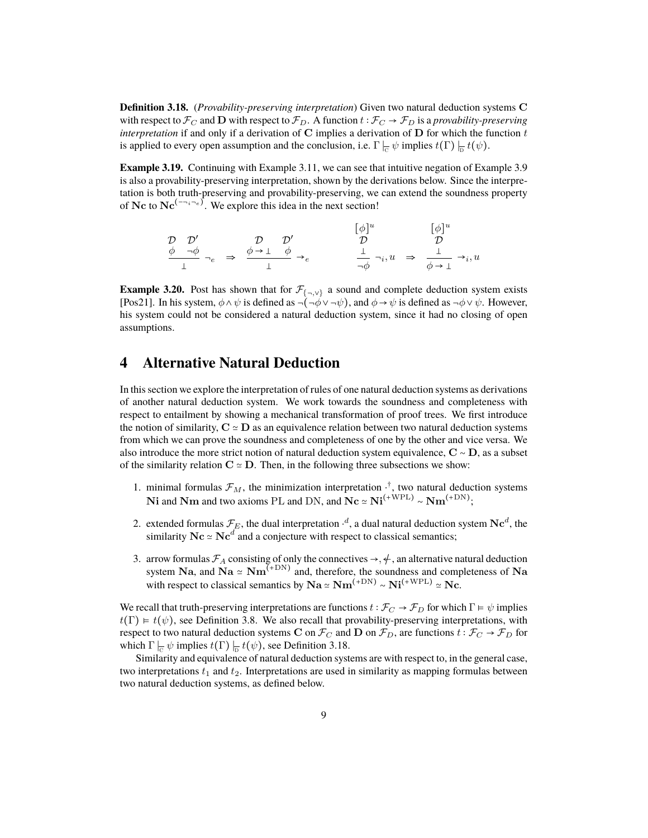**Definition 3.18.** (*Provability-preserving interpretation*) Given two natural deduction systems C with respect to  $\mathcal{F}_C$  and **D** with respect to  $\mathcal{F}_D$ . A function  $t : \mathcal{F}_C \to \mathcal{F}_D$  is a *provability-preserving interpretation* if and only if a derivation of  $C$  implies a derivation of  $D$  for which the function  $t$ is applied to every open assumption and the conclusion, i.e.  $\Gamma\mid_{\overline{\text{C}}}\psi$  implies  $t(\Gamma)\mid_{\overline{\text{D}}}t(\psi).$ 

**Example 3.19.** Continuing with Example 3.11, we can see that intuitive negation of Example 3.9 is also a provability-preserving interpretation, shown by the derivations below. Since the interpretation is both truth-preserving and provability-preserving, we can extend the soundness property of Nc to  $Nc^{(-\gamma_i-\epsilon)}$ . We explore this idea in the next section!

$$
\begin{array}{ccccccc}\n\mathcal{D} & \mathcal{D}' & & \mathcal{D} & \mathcal{D}' & & \left[\phi\right]^u & & \left[\phi\right]^u \\
\frac{\phi & \neg \phi}{\bot} & \neg_e & \Rightarrow & \frac{\phi \to \bot & \phi}{\bot} & \rightarrow_e & & \frac{\bot}{\neg \phi} & \neg_i, u & \Rightarrow & \frac{\bot}{\phi \to \bot} & \rightarrow_i, u\n\end{array}
$$

**Example 3.20.** Post has shown that for  $\mathcal{F}_{\{\neg, \lor\}}$  a sound and complete deduction system exists [Pos21]. In his system,  $\phi \wedge \psi$  is defined as  $\neg(\neg \phi \vee \neg \psi)$ , and  $\phi \rightarrow \psi$  is defined as  $\neg \phi \vee \psi$ . However, his system could not be considered a natural deduction system, since it had no closing of open assumptions.

### **4 Alternative Natural Deduction**

In this section we explore the interpretation of rules of one natural deduction systems as derivations of another natural deduction system. We work towards the soundness and completeness with respect to entailment by showing a mechanical transformation of proof trees. We first introduce the notion of similarity,  $C \simeq D$  as an equivalence relation between two natural deduction systems from which we can prove the soundness and completeness of one by the other and vice versa. We also introduce the more strict notion of natural deduction system equivalence, C ∼ D, as a subset of the similarity relation  $C \simeq D$ . Then, in the following three subsections we show:

- 1. minimal formulas  $\mathcal{F}_M$ , the minimization interpretation  $\cdot^{\dagger}$ , two natural deduction systems **Ni** and **Nm** and two axioms PL and DN, and  $Nc \approx Ni^{(+WPL)} \sim Nm^{(+DN)}$ ;
- 2. extended formulas  $\mathcal{F}_E$ , the dual interpretation  $\cdot^d$ , a dual natural deduction system  $\mathbf{Nc}^d$ , the similarity  $Nc \simeq Nc^d$  and a conjecture with respect to classical semantics;
- 3. arrow formulas  $\mathcal{F}_A$  consisting of only the connectives  $\rightarrow$ ,  $\neq$ , an alternative natural deduction system Na, and Na  $\simeq$  Nm<sup>(+DN)</sup> and, therefore, the soundness and completeness of Na with respect to classical semantics by  $\mathbf{Na} \simeq \mathbf{Nm}^{(+\text{DN})} \sim \mathbf{Ni}^{(+\text{WPL})} \simeq \mathbf{Nc}$ .

We recall that truth-preserving interpretations are functions  $t : \mathcal{F}_C \to \mathcal{F}_D$  for which  $\Gamma \models \psi$  implies  $t(\Gamma) \models t(\psi)$ , see Definition 3.8. We also recall that provability-preserving interpretations, with respect to two natural deduction systems C on  $\mathcal{F}_C$  and D on  $\mathcal{F}_D$ , are functions  $t : \mathcal{F}_C \to \mathcal{F}_D$  for which  $\Gamma\mid_{\overline{\mathbb{C}}}\psi$  implies  $t(\Gamma)\mid_{\overline{\mathbb{D}}}t(\psi)$ , see Definition 3.18.

Similarity and equivalence of natural deduction systems are with respect to, in the general case, two interpretations  $t_1$  and  $t_2$ . Interpretations are used in similarity as mapping formulas between two natural deduction systems, as defined below.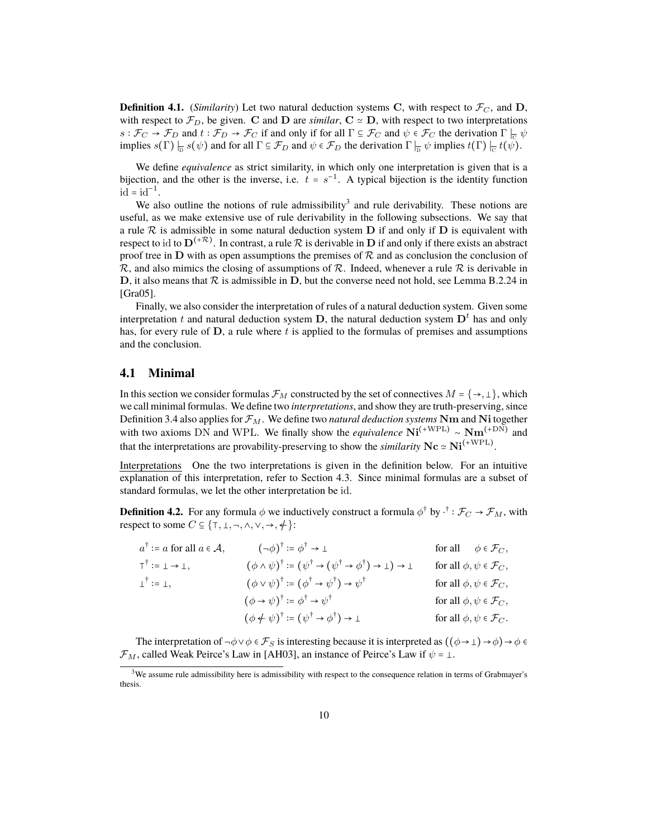**Definition 4.1.** (*Similarity*) Let two natural deduction systems C, with respect to  $\mathcal{F}_C$ , and D, with respect to  $\mathcal{F}_D$ , be given. C and D are *similar*, C  $\simeq$  D, with respect to two interpretations  $s: \mathcal{F}_C \to \mathcal{F}_D$  and  $t: \mathcal{F}_D \to \mathcal{F}_C$  if and only if for all  $\Gamma \subseteq \mathcal{F}_C$  and  $\psi \in \mathcal{F}_C$  the derivation  $\Gamma \mid_{\mathcal{C}} \psi$ implies  $s(\Gamma) \Big|_D s(\psi)$  and for all  $\Gamma \subseteq \mathcal{F}_D$  and  $\psi \in \mathcal{F}_D$  the derivation  $\Gamma \Big|_D \psi$  implies  $t(\Gamma) \Big|_C t(\psi)$ .

We define *equivalence* as strict similarity, in which only one interpretation is given that is a bijection, and the other is the inverse, i.e.  $t = s^{-1}$ . A typical bijection is the identity function  $id = id^{-1}.$ 

We also outline the notions of rule admissibility<sup>3</sup> and rule derivability. These notions are useful, as we make extensive use of rule derivability in the following subsections. We say that a rule  $R$  is admissible in some natural deduction system  $D$  if and only if  $D$  is equivalent with respect to id to  $\bf{D}^{(+R)}$ . In contrast, a rule  $\cal{R}$  is derivable in  $\bf{D}$  if and only if there exists an abstract proof tree in  $D$  with as open assumptions the premises of  $R$  and as conclusion the conclusion of  $\mathcal R$ , and also mimics the closing of assumptions of  $\mathcal R$ . Indeed, whenever a rule  $\mathcal R$  is derivable in D, it also means that  $R$  is admissible in D, but the converse need not hold, see Lemma B.2.24 in [Gra05].

Finally, we also consider the interpretation of rules of a natural deduction system. Given some interpretation t and natural deduction system D, the natural deduction system  $D<sup>t</sup>$  has and only has, for every rule of  $D$ , a rule where  $t$  is applied to the formulas of premises and assumptions and the conclusion.

#### **4.1 Minimal**

In this section we consider formulas  $\mathcal{F}_M$  constructed by the set of connectives  $M = \{\rightarrow, \perp\}$ , which we call minimal formulas. We define two *interpretations*, and show they are truth-preserving, since Definition 3.4 also applies for  $\mathcal{F}_M$ . We define two *natural deduction systems* Nm and Ni together with two axioms DN and WPL. We finally show the *equivalence*  $\mathrm{Ni}^{(+\mathrm{WPL})} \sim \mathrm{Nm}^{(+\mathrm{DN})}$  and that the interpretations are provability-preserving to show the *similarity*  $Nc \approx Ni^{(+WPL)}$ .

Interpretations One the two interpretations is given in the definition below. For an intuitive explanation of this interpretation, refer to Section 4.3. Since minimal formulas are a subset of standard formulas, we let the other interpretation be id.

**Definition 4.2.** For any formula  $\phi$  we inductively construct a formula  $\phi^{\dagger}$  by  $\cdot^{\dagger}$  :  $\mathcal{F}_C \to \mathcal{F}_M$ , with respect to some  $C \subseteq \{T, \bot, \neg, \wedge, \vee, \rightarrow, \neq\}$ :

| $a^{\dagger}$ := a for all $a \in \mathcal{A}$ , | $(\neg \phi)^{\dagger}$ := $\phi^{\dagger} \rightarrow \bot$                                                                                | for all $\phi \in \mathcal{F}_C$ ,       |
|--------------------------------------------------|---------------------------------------------------------------------------------------------------------------------------------------------|------------------------------------------|
| $T^{\dagger} := \bot \rightarrow \bot$ ,         | $(\phi \land \psi)^{\dagger} := (\psi^{\dagger} \rightarrow (\psi^{\dagger} \rightarrow \phi^{\dagger}) \rightarrow \bot) \rightarrow \bot$ | for all $\phi, \psi \in \mathcal{F}_C$ , |
| $\bot^{\dagger} \coloneqq \bot,$                 | $(\phi \vee \psi)^{\dagger} := (\phi^{\dagger} \rightarrow \psi^{\dagger}) \rightarrow \psi^{\dagger}$                                      | for all $\phi, \psi \in \mathcal{F}_C$ , |
|                                                  | $(\phi \rightarrow \psi)^{\dagger}$ := $\phi^{\dagger} \rightarrow \psi^{\dagger}$                                                          | for all $\phi, \psi \in \mathcal{F}_C$ , |
|                                                  | $(\phi \notin \psi)^{\dagger} \coloneqq (\psi^{\dagger} \rightarrow \phi^{\dagger}) \rightarrow \bot$                                       | for all $\phi, \psi \in \mathcal{F}_C$ . |

The interpretation of  $\neg \phi \lor \phi \in \mathcal{F}_S$  is interesting because it is interpreted as  $((\phi \rightarrow \bot) \rightarrow \phi) \rightarrow \phi \in \mathcal{F}_S$  $\mathcal{F}_M$ , called Weak Peirce's Law in [AH03], an instance of Peirce's Law if  $\psi = \bot$ .

<sup>&</sup>lt;sup>3</sup>We assume rule admissibility here is admissibility with respect to the consequence relation in terms of Grabmayer's thesis.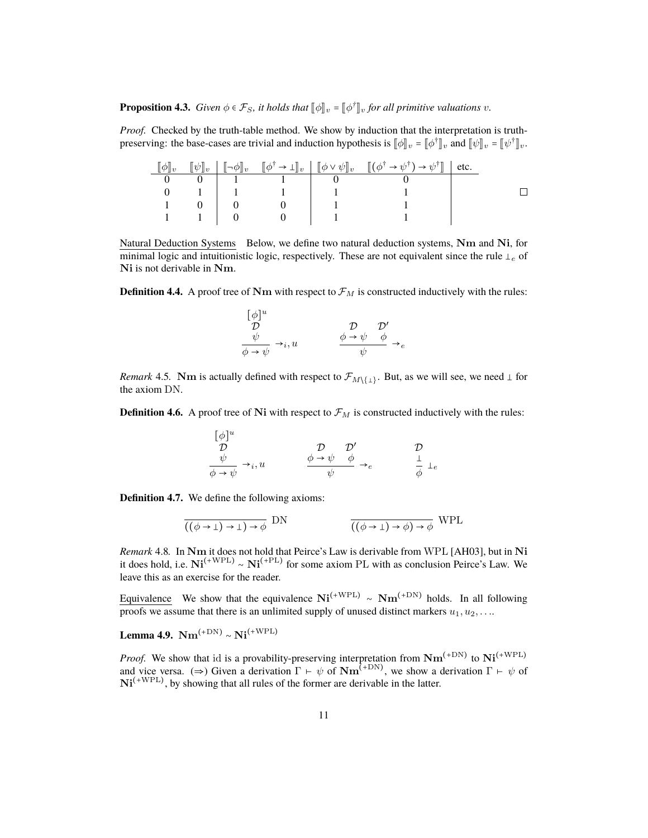**Proposition 4.3.** *Given*  $\phi \in \mathcal{F}_S$ *, it holds that*  $[\![\phi]\!]_v = [\![\phi^\dagger]\!]_v$  *for all primitive valuations v*.

*Proof.* Checked by the truth-table method. We show by induction that the interpretation is truthpreserving: the base-cases are trivial and induction hypothesis is  $[\![\phi]\!]_v = [\![\phi^\dagger]\!]_v$ , and  $[\![\psi]\!]_v = [\![\psi^\dagger]\!]_v$ .

|  |  | $[\![\psi]\!]_v \left[ [\![\neg \phi]\!]_v \quad [\![\phi^\dagger \to \bot]\!]_v \right] [\![\phi \vee \psi]\!]_v \quad [\![ (\phi^\dagger \to \psi^\dagger) \to \psi^\dagger]\!] \mid \text{etc.}$ |  |
|--|--|-----------------------------------------------------------------------------------------------------------------------------------------------------------------------------------------------------|--|
|  |  |                                                                                                                                                                                                     |  |
|  |  |                                                                                                                                                                                                     |  |
|  |  |                                                                                                                                                                                                     |  |
|  |  |                                                                                                                                                                                                     |  |

Natural Deduction Systems Below, we define two natural deduction systems, Nm and Ni, for minimal logic and intuitionistic logic, respectively. These are not equivalent since the rule  $\perp_e$  of Ni is not derivable in Nm.

**Definition 4.4.** A proof tree of Nm with respect to  $\mathcal{F}_M$  is constructed inductively with the rules:

$$
\begin{array}{ccc}\n[\phi]^u & & \mathcal{D} & \mathcal{D}' \\
\frac{\psi}{\phi \to \psi} & \to_i, u & \phi \to \psi & \phi \\
\end{array} \to_e
$$

*Remark* 4.5. **Nm** is actually defined with respect to  $\mathcal{F}_{M\setminus\{1\}}$ . But, as we will see, we need  $\perp$  for the axiom DN.

**Definition 4.6.** A proof tree of Ni with respect to  $\mathcal{F}_M$  is constructed inductively with the rules:

$$
\begin{array}{ccc}\n[\phi]^u & & & \mathcal{D} & \mathcal{D}' & \mathcal{D} \\
\frac{\psi}{\phi \to \psi} & \rightarrow_i, u & & \frac{\phi \to \psi & \phi}{\psi} \to_e & & \frac{1}{\phi} \perp_e\n\end{array}
$$

**Definition 4.7.** We define the following axioms:

$$
\frac{\overline{((\phi \to \bot) \to \bot) \to \phi}}{\overline{((\phi \to \bot) \to \phi) \to \phi}} \text{ WPL}
$$

*Remark* 4.8*.* In Nm it does not hold that Peirce's Law is derivable from WPL [AH03], but in Ni it does hold, i.e.  $Ni^{(+WPL)} \sim Ni^{(+PL)}$  for some axiom PL with as conclusion Peirce's Law. We leave this as an exercise for the reader.

Equivalence We show that the equivalence  $\mathrm{Ni}^{(+\mathrm{WPL})} \sim \mathrm{Nm}^{(+\mathrm{DN})}$  holds. In all following proofs we assume that there is an unlimited supply of unused distinct markers  $u_1, u_2, \ldots$ 

Lemma 4.9.  $\text{Nm}^{(+\text{DN})} \sim \text{Ni}^{(+\text{WPL})}$ 

*Proof.* We show that id is a provability-preserving interpretation from  $Nm^{(+DN)}$  to  $Ni^{(+WPL)}$ and vice versa. ( $\Rightarrow$ ) Given a derivation  $\Gamma \vdash \psi$  of  $\text{Nm}^{(+DN)}$ , we show a derivation  $\Gamma \vdash \psi$  of  $Ni<sup>(+WPL)</sup>$ , by showing that all rules of the former are derivable in the latter.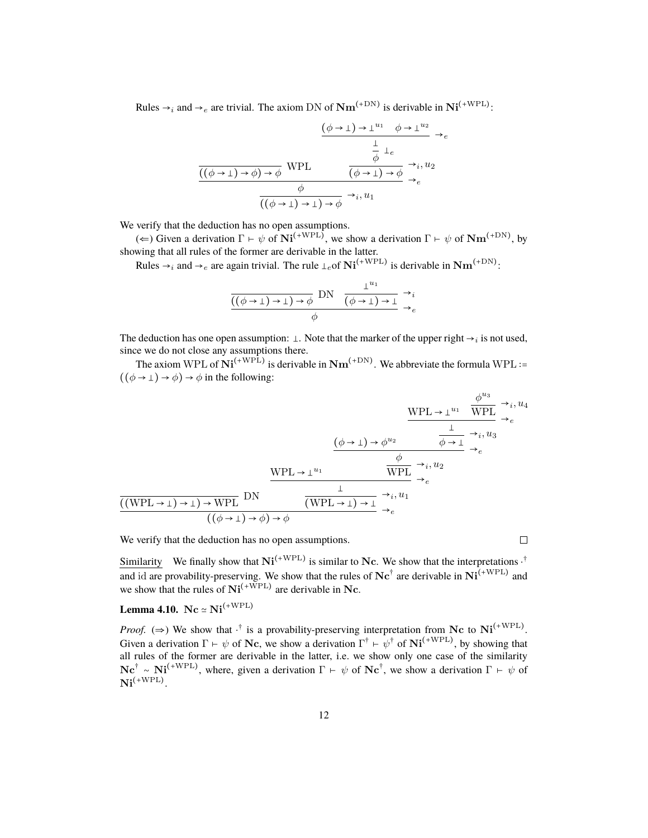Rules  $\rightarrow_i$  and  $\rightarrow_e$  are trivial. The axiom DN of  $\text{Nm}^{(+\text{DN})}$  is derivable in  $\text{Ni}^{(+\text{WPL})}$ :

$$
\frac{(\phi \to \bot) \to \bot^{u_1} \quad \phi \to \bot^{u_2}}{\frac{\bot}{\phi} \quad \bot_e}
$$
\n
$$
\frac{\frac{\bot}{\phi} \quad \bot_e}{((\phi \to \bot) \to \phi) \to \phi} \quad \text{WPL} \qquad \frac{\phi}{(\phi \to \bot) \to \phi} \to_{i} u_2
$$
\n
$$
\frac{\phi}{((\phi \to \bot) \to \bot) \to \phi} \to_{i} u_1
$$

We verify that the deduction has no open assumptions.

( $\Leftarrow$ ) Given a derivation  $\Gamma \vdash \psi$  of  $\mathrm{Ni}^{(+\mathrm{WPL})}$ , we show a derivation  $\Gamma \vdash \psi$  of  $\mathrm{Nm}^{(+\mathrm{DN})}$ , by showing that all rules of the former are derivable in the latter.

Rules  $\rightarrow_i$  and  $\rightarrow_e$  are again trivial. The rule  $\perp_e$  of  $\mathrm{Ni}^{(+\mathrm{WPL})}$  is derivable in  $\mathrm{Nm}^{(+\mathrm{DN})}$ :

$$
\frac{\frac{1}{((\phi \to \bot) \to \bot) \to \phi} \text{DN} \quad \frac{\bot^{u_1}}{(\phi \to \bot) \to \bot} \to_i}{\phi}
$$

The deduction has one open assumption:  $\perp$ . Note that the marker of the upper right  $\rightarrow$  is not used, since we do not close any assumptions there.

The axiom WPL of  $\mathrm{Ni}^{(+\mathrm{WPL})}$  is derivable in  $\mathrm{Nm}^{(+\mathrm{DN})}$ . We abbreviate the formula WPL :=  $((\phi \rightarrow \bot) \rightarrow \phi) \rightarrow \phi$  in the following:

$$
\frac{\text{WPL} \rightarrow \perp^{u_1} \quad \frac{\phi^{u_3}}{\text{WPL}} \rightarrow_i u_4}{\phi \rightarrow \perp^{u_1} \quad \frac{\bot}{\phi \rightarrow \perp} \rightarrow_i u_3} \rightarrow_e
$$
\n
$$
\frac{\frac{\text{WPL} \rightarrow \perp^{u_1}}{\phi \rightarrow \perp^{u_2}} \quad \frac{\bot}{\phi \rightarrow \perp} \rightarrow_i u_3}{\frac{\bot}{\phi \rightarrow \perp^{u_1}} \rightarrow_e} \rightarrow_e
$$
\n
$$
\frac{\frac{\text{WPL} \rightarrow \perp^{u_1}}{\text{WPL}} \quad \frac{\bot}{\phi \rightarrow \perp^{u_1} \quad \frac{\bot}{\phi \rightarrow \perp^{u_2} \quad \frac{\bot}{\phi \rightarrow \perp^{u_2} \quad \frac{\bot}{\phi \rightarrow \perp^{u_2} \quad \frac{\bot}{\phi \rightarrow \perp^{u_2} \quad \frac{\bot}{\phi \rightarrow \perp^{u_2} \quad \frac{\bot}{\phi \rightarrow \perp^{u_2} \quad \frac{\bot}{\phi \rightarrow \perp^{u_2} \quad \frac{\bot}{\phi \rightarrow \perp^{u_2} \quad \frac{\bot}{\phi \rightarrow \perp^{u_2} \quad \frac{\bot}{\phi \rightarrow \perp^{u_2} \quad \frac{\bot}{\phi \rightarrow \perp^{u_2} \quad \frac{\bot}{\phi \rightarrow \perp^{u_2} \quad \frac{\bot}{\phi \rightarrow \perp^{u_2} \quad \frac{\bot}{\phi \rightarrow \perp^{u_2} \quad \frac{\bot}{\phi \rightarrow \perp^{u_2} \quad \frac{\bot}{\phi \rightarrow \perp^{u_2} \quad \frac{\bot}{\phi \rightarrow \perp^{u_2} \quad \frac{\bot}{\phi \rightarrow \perp^{u_2} \quad \frac{\bot}{\phi \rightarrow \perp^{u_2} \quad \frac{\bot}{\phi \rightarrow \perp^{u_2} \quad \frac{\bot}{\phi \rightarrow \perp^{u_2} \quad \frac{\bot}{\phi \rightarrow \perp^{u_2} \quad \frac{\bot}{\phi \rightarrow \perp^{u_2} \quad \frac{\bot}{\phi \rightarrow \perp^{u_2} \quad \frac{\bot}{\phi \rightarrow \perp^{u_2} \quad \frac{\bot}{\phi \rightarrow \perp^{u_2} \quad \frac{\bot}{\phi \rightarrow \perp^{u_2} \quad \frac{\bot}{\phi \rightarrow \perp^{u_2} \quad \frac{\bot}{\
$$

We verify that the deduction has no open assumptions.

 $\Box$ 

Similarity We finally show that  $Ni^{(+WPL)}$  is similar to Nc. We show that the interpretations  $.\dot{}$ and id are provability-preserving. We show that the rules of  $\bf{N}c^{\dagger}$  are derivable in  $\bf{Ni}^{(+WPL)}$  and we show that the rules of  $\mathrm{Ni}^{(+\mathrm{WPL})}$  are derivable in Nc.

Lemma 4.10. Nc  $\simeq$  Ni<sup>(+WPL)</sup>

*Proof.* ( $\Rightarrow$ ) We show that  $\cdot^{\dagger}$  is a provability-preserving interpretation from Nc to Ni<sup>(+WPL)</sup>. Given a derivation  $\Gamma \vdash \psi$  of Nc, we show a derivation  $\Gamma^{\dagger} \vdash \psi^{\dagger}$  of  $\mathrm{Ni}^{(+\mathrm{WPL})}$ , by showing that all rules of the former are derivable in the latter, i.e. we show only one case of the similarity  $\textbf{Nc}^{\dagger} \sim \textbf{Ni}^{(+WPL)}$ , where, given a derivation  $\Gamma \vdash \psi$  of  $\textbf{Nc}^{\dagger}$ , we show a derivation  $\Gamma \vdash \psi$  of  $\mathrm{Ni}^{(\mathrm{+WPL})}.$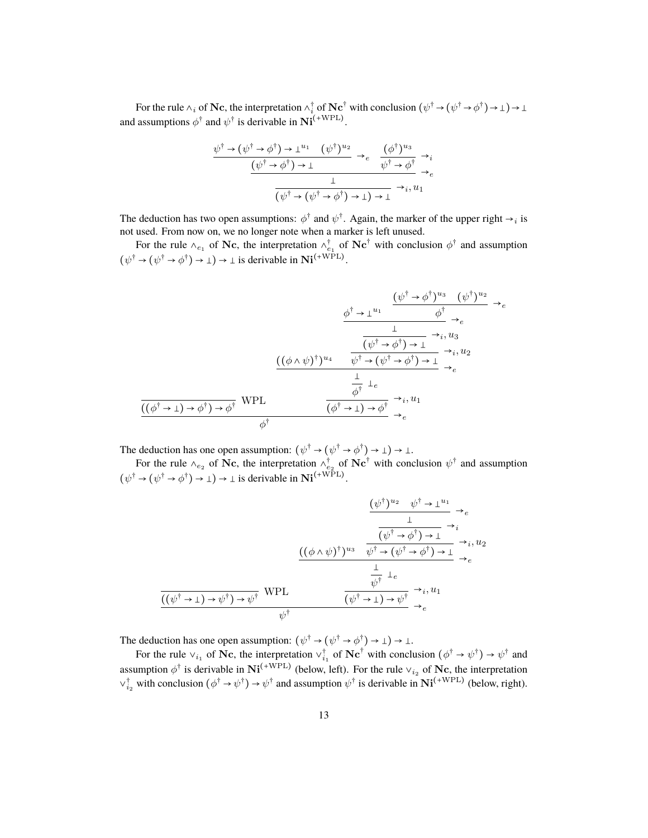For the rule  $\wedge_i$  of Nc, the interpretation  $\wedge_i^{\dagger}$  of Nc<sup>†</sup> with conclusion  $(\psi^{\dagger} \to (\psi^{\dagger} \to \phi^{\dagger}) \to \bot) \to \bot$ and assumptions  $\phi^{\dagger}$  and  $\psi^{\dagger}$  is derivable in  $\mathrm{Ni}^{(+\mathrm{WPL})}$ .

$$
\frac{\psi^{\dagger} \to (\psi^{\dagger} \to \phi^{\dagger}) \to \perp^{u_1} \quad (\psi^{\dagger})^{u_2}}{\psi^{\dagger} \to \phi^{\dagger}} \to_e \quad \frac{(\phi^{\dagger})^{u_3}}{\psi^{\dagger} \to \phi^{\dagger}} \to_e
$$
\n
$$
\frac{\perp}{(\psi^{\dagger} \to (\psi^{\dagger} \to \phi^{\dagger}) \to \perp) \to \perp} \to_i, u_1
$$

The deduction has two open assumptions:  $\phi^{\dagger}$  and  $\psi^{\dagger}$ . Again, the marker of the upper right  $\rightarrow_i$  is not used. From now on, we no longer note when a marker is left unused.

For the rule  $\wedge_{e_1}$  of Nc, the interpretation  $\wedge_{e_1}^{\dagger}$  of Nc<sup>†</sup> with conclusion  $\phi^{\dagger}$  and assumption  $(\psi^{\dagger} \to (\psi^{\dagger} \to \phi^{\dagger}) \to \bot) \to \bot$  is derivable in  $\text{Ni}^{(+\text{WPL})}$ .

$$
\frac{\phi^{\dagger} \to \perp^{u_1}}{\phi^{\dagger} \to \downarrow^{u_1}} \xrightarrow{\phi^{\dagger} \to e} (\phi^{\dagger})^{u_2} \to e
$$
\n
$$
\frac{\frac{(\phi^{\dagger} \to \phi^{\dagger})^{u_3} (\psi^{\dagger})^{u_2}}{(\phi^{\dagger} \to \phi^{\dagger}) \to \perp} \to e}{\frac{(\phi^{\dagger} \to \phi^{\dagger}) \to \perp}{\phi^{\dagger} \to e} \to e} \to i, u_2
$$
\n
$$
\frac{\frac{(\phi^{\dagger} \to \psi^{\dagger})^{u_4}}{(\phi^{\dagger} \to \perp) \to \phi^{\dagger}} \xrightarrow{\phi^{\dagger}} \frac{\frac{1}{\phi^{\dagger}}}{(\phi^{\dagger} \to \perp) \to \phi^{\dagger}} \to i, u_1}{\frac{(\phi^{\dagger} \to \perp) \to \phi^{\dagger}}{\phi^{\dagger}} \to e} \to e
$$

The deduction has one open assumption:  $(\psi^{\dagger} \to (\psi^{\dagger} \to \phi^{\dagger}) \to \bot) \to \bot$ .

For the rule  $\wedge_{e_2}$  of Nc, the interpretation  $\wedge_{e_2}^{\dagger}$  of Nc<sup>†</sup> with conclusion  $\psi^{\dagger}$  and assumption  $(\psi^{\dagger} \to (\psi^{\dagger} \to \phi^{\dagger}) \to \bot) \to \bot$  is derivable in  $\text{Ni}^{(+\text{WPL})}$ .

$$
\frac{(\psi^{\dagger})^{u_2} \quad \psi^{\dagger} \rightarrow \perp^{u_1}}{\frac{1}{(\psi^{\dagger} \rightarrow \phi^{\dagger}) \rightarrow \perp}} \rightarrow_e
$$
\n
$$
\frac{(\phi \land \psi)^{\dagger})^{u_3} \quad \overline{\psi^{\dagger} \rightarrow (\psi^{\dagger} \rightarrow \phi^{\dagger}) \rightarrow \perp}} \rightarrow_i, u_2
$$
\n
$$
\frac{((\phi \land \psi)^{\dagger})^{u_3} \quad \overline{\psi^{\dagger} \rightarrow (\psi^{\dagger} \rightarrow \phi^{\dagger}) \rightarrow \perp}} \rightarrow_e \rightarrow_e
$$
\n
$$
\frac{\frac{1}{\psi^{\dagger}} \perp_e}{((\psi^{\dagger} \rightarrow \perp) \rightarrow \psi^{\dagger}) \rightarrow \psi^{\dagger}} \quad \overline{\psi^{\dagger}} \rightarrow_e
$$

The deduction has one open assumption:  $(\psi^{\dagger} \to (\psi^{\dagger} \to \phi^{\dagger}) \to \bot) \to \bot$ .

For the rule  $\vee_{i_1}$  of Nc, the interpretation  $\vee_{i_1}^{\dagger}$  of Nc<sup>†</sup> with conclusion  $(\phi^{\dagger} \to \psi^{\dagger}) \to \psi^{\dagger}$  and assumption  $\phi^{\dagger}$  is derivable in  $\text{Ni}^{(+\text{WPL})}$  (below, left). For the rule  $\vee_{i_2}$  of Nc, the interpretation  $\vee_{i_2}^{\dagger}$  with conclusion  $(\phi^{\dagger} \to \psi^{\dagger}) \to \psi^{\dagger}$  and assumption  $\psi^{\dagger}$  is derivable in  $\text{Ni}^{(+\text{WPL})}$  (below, right).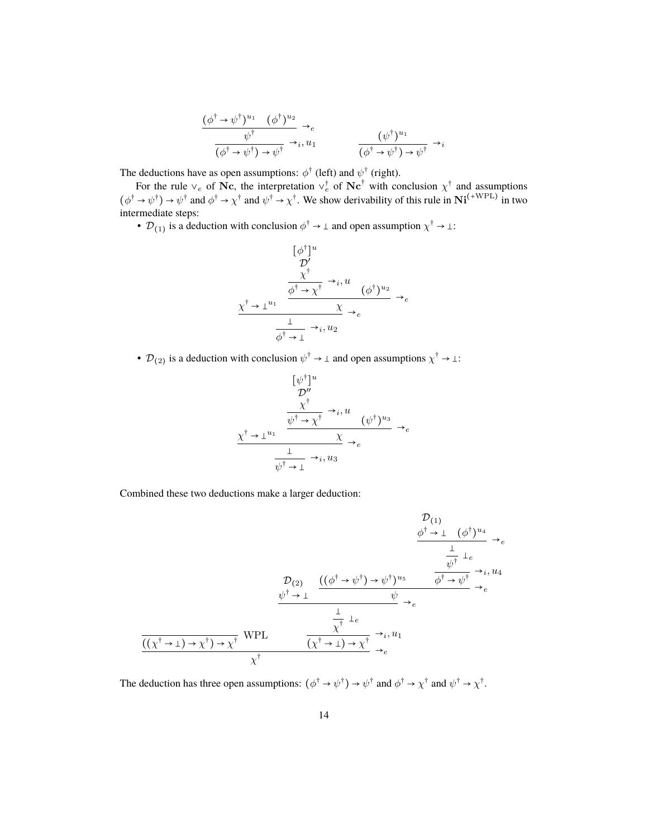$$
\frac{(\phi^{\dagger} \to \psi^{\dagger})^{u_1} \quad (\phi^{\dagger})^{u_2}}{(\phi^{\dagger} \to \psi^{\dagger}) \to \psi^{\dagger}} \to_e
$$
\n
$$
\frac{(\psi^{\dagger})^{u_1}}{(\phi^{\dagger} \to \psi^{\dagger}) \to \psi^{\dagger}} \to_{i} u_1
$$
\n
$$
\frac{(\psi^{\dagger})^{u_1}}{(\phi^{\dagger} \to \psi^{\dagger}) \to \psi^{\dagger}} \to_{i}
$$

The deductions have as open assumptions:  $\phi^{\dagger}$  (left) and  $\psi^{\dagger}$  (right).

For the rule  $\vee_e$  of Nc, the interpretation  $\vee_e^{\dagger}$  of Nc<sup>†</sup> with conclusion  $\chi^{\dagger}$  and assumptions  $(\phi^{\dagger} \to \psi^{\dagger}) \to \psi^{\dagger}$  and  $\phi^{\dagger} \to \chi^{\dagger}$  and  $\psi^{\dagger} \to \chi^{\dagger}$ . We show derivability of this rule in  $\text{Ni}^{(+\text{WPL})}$  in two intermediate steps:

•  $\mathcal{D}_{(1)}$  is a deduction with conclusion  $\phi^{\dagger} \to \bot$  and open assumption  $\chi^{\dagger} \to \bot$ :

$$
\begin{array}{ccc}\n & [\phi^{\dagger}]^{u} & \rightarrow & \mathcal{D}' \\
 & \mathcal{D}' & & \\
 & \frac{\chi^{\dagger}}{\phi^{\dagger} \to \chi^{\dagger}} \to_{i}, u & \\
 & \frac{\chi^{\dagger} \to \bot^{u_{1}}}{\chi} \to_{e} & \\
 & \frac{\bot}{\phi^{\dagger} \to \bot} \to_{i}, u_{2} & \\
\end{array}
$$

•  $\mathcal{D}_{(2)}$  is a deduction with conclusion  $\psi^{\dagger} \to \bot$  and open assumptions  $\chi^{\dagger} \to \bot$ :

$$
\begin{aligned}\n&\frac{[\psi^{\dagger}]^{u}}{\mathcal{D}''} \\
&\frac{\chi^{\dagger}}{\psi^{\dagger} \to \chi^{\dagger}} \to_{i}, u \\
&\frac{\psi^{\dagger} \to \chi^{\dagger}}{\chi} \to_{e} \\
&\frac{1}{\psi^{\dagger} \to 1} \to_{i}, u_{3}\n\end{aligned}
$$

Combined these two deductions make a larger deduction:

$$
\frac{\mathcal{D}_{(1)}}{\psi^{\dagger} \to \perp (\phi^{\dagger})^{u_{4}} \to_{e}}
$$
\n
$$
\frac{\frac{1}{\psi^{\dagger}} \perp_{e}}{\psi^{\dagger} \to \perp}
$$
\n
$$
\frac{\mathcal{D}_{(2)}}{\psi^{\dagger} \to \perp} \frac{((\phi^{\dagger} \to \psi^{\dagger}) \to \psi^{\dagger})^{u_{5}} \qquad \phi^{\dagger} \to \psi^{\dagger}}{\psi} \to_{e}
$$
\n
$$
\frac{\frac{1}{\psi^{\dagger}} \perp_{e}}{(\chi^{\dagger} \to \perp) \to \chi^{\dagger}} \qquad \frac{\frac{1}{\chi^{\dagger}} \perp_{e}}{\chi^{\dagger}} \to_{i} u_{1}
$$
\n
$$
\frac{(\chi^{\dagger} \to \perp) \to \chi^{\dagger}) \to \chi^{\dagger}}{\chi^{\dagger}} \qquad \frac{\chi^{\dagger}}{\chi^{\dagger}} \to_{e}
$$

The deduction has three open assumptions:  $(\phi^{\dagger} \to \psi^{\dagger}) \to \psi^{\dagger}$  and  $\phi^{\dagger} \to \chi^{\dagger}$  and  $\psi^{\dagger} \to \chi^{\dagger}$ .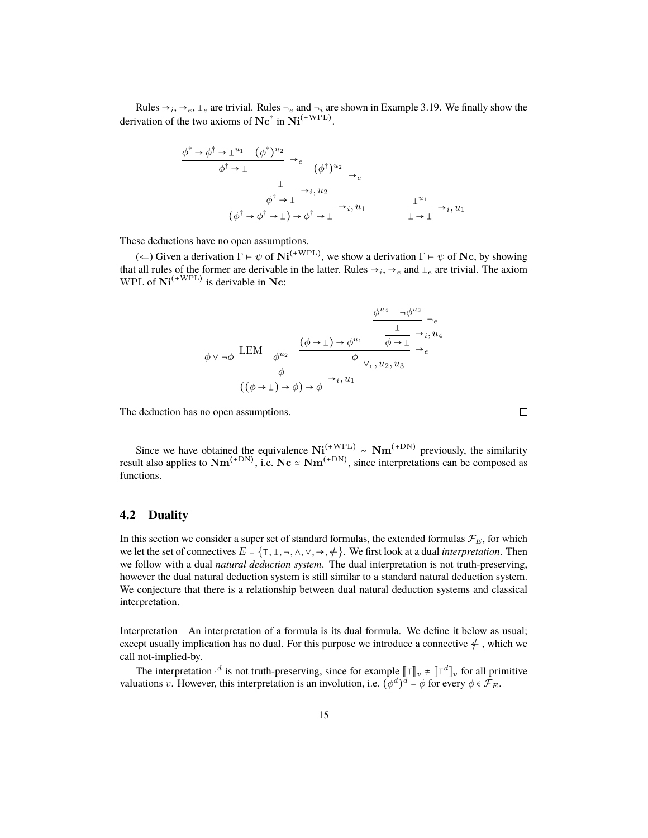Rules  $\rightarrow_i, \rightarrow_e, \perp_e$  are trivial. Rules  $\rightarrow_e$  and  $\rightarrow_i$  are shown in Example 3.19. We finally show the derivation of the two axioms of  $\mathbf{N} \mathbf{c}^{\dagger}$  in  $\mathbf{N} \mathbf{i}^{(+\text{WPL})}$ .

$$
\frac{\phi^{\dagger} \to \phi^{\dagger} \to \perp^{u_1} \quad (\phi^{\dagger})^{u_2}}{\phi^{\dagger} \to \perp} \to_e \quad (\phi^{\dagger})^{u_2} \to_e
$$
\n
$$
\frac{\downarrow}{\phi^{\dagger} \to \perp} \to_i, u_2
$$
\n
$$
\frac{\phi^{\dagger} \to \perp}{(\phi^{\dagger} \to \phi^{\dagger} \to \perp) \to \phi^{\dagger} \to \perp} \to_i, u_1
$$
\n
$$
\frac{\perp^{u_1}}{\perp \to \perp} \to_i, u_1
$$

These deductions have no open assumptions.

(←) Given a derivation  $\Gamma \vdash \psi$  of  $\textbf{Ni}^{(+\text{WPL})}$ , we show a derivation  $\Gamma \vdash \psi$  of  $\textbf{Nc}$ , by showing that all rules of the former are derivable in the latter. Rules  $\rightarrow_i, \rightarrow_e$  and  $\perp_e$  are trivial. The axiom WPL of  $Ni^{(+WPL)}$  is derivable in Nc:

$$
\frac{\phi^{u_4} \to \phi^{u_3}}{\frac{1}{\phi \vee \neg \phi} \operatorname{LEM}}_{\phi^{u_2}} \xrightarrow{\phi^{u_2}} \frac{\frac{(\phi \to \bot) \to \phi^{u_1}}{\phi \to \bot} \to i, u_4}{\phi \vee e, u_2, u_3} \to e^{\frac{\phi}{((\phi \to \bot) \to \phi) \to \phi} \to i, u_1}
$$

The deduction has no open assumptions.

Since we have obtained the equivalence  $\text{Ni}^{(+\text{WPL})}_{(-\text{cm})} \sim \text{Nm}^{(+\text{DN})}$  previously, the similarity result also applies to  $\text{Nm}^{(+\text{DN})}$ , i.e.  $\text{Nc} \approx \text{Nm}^{(+\text{DN})}$ , since interpretations can be composed as functions.

 $\Box$ 

#### **4.2 Duality**

In this section we consider a super set of standard formulas, the extended formulas  $\mathcal{F}_E$ , for which we let the set of connectives  $E = \{T, \bot, \neg, \wedge, \vee, \rightarrow, \div\}$ . We first look at a dual *interpretation*. Then we follow with a dual *natural deduction system*. The dual interpretation is not truth-preserving, however the dual natural deduction system is still similar to a standard natural deduction system. We conjecture that there is a relationship between dual natural deduction systems and classical interpretation.

Interpretation An interpretation of a formula is its dual formula. We define it below as usual; except usually implication has no dual. For this purpose we introduce a connective  $\neq$ , which we call not-implied-by.

The interpretation  $\cdot^d$  is not truth-preserving, since for example  $[\![\top]\!]_v \neq [\![\top^d]\!]_v$  for all primitive estimates the interpretation is an involution i.e.  $(\mathcal{A}^d)^d = \mathcal{A}$  for every  $\mathcal{A} \in \mathcal{F}$ valuations v. However, this interpretation is an involution, i.e.  $(\phi^d)^d = \phi$  for every  $\phi \in \mathcal{F}_E$ .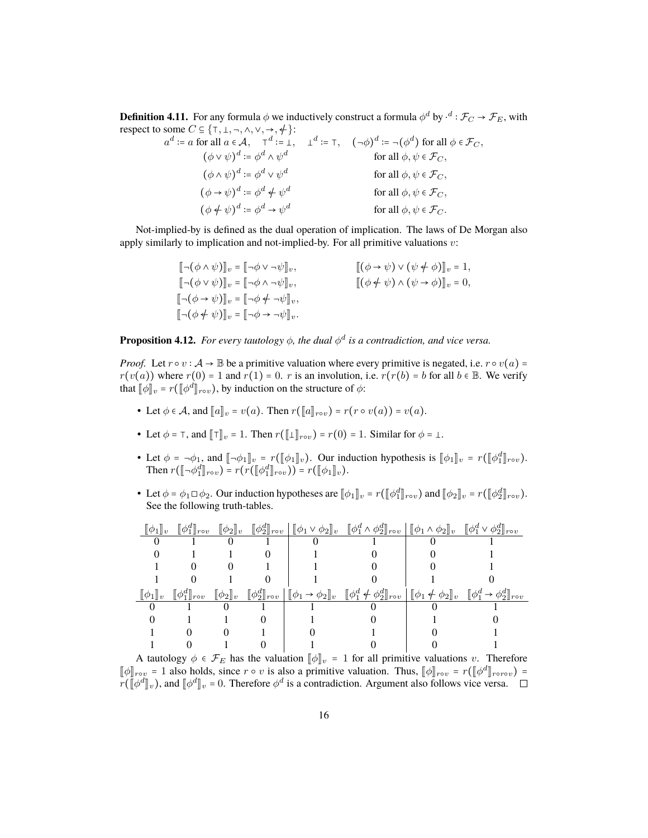**Definition 4.11.** For any formula  $\phi$  we inductively construct a formula  $\phi^d$  by  $\cdot^d:\mathcal{F}_C\to\mathcal{F}_E,$  with respect to some  $C \subseteq \{T, \bot, \neg, \wedge, \vee, \rightarrow, \neq\}$ :

$$
a^{d} := a \text{ for all } a \in \mathcal{A}, \quad \mathbf{T}^{d} := \mathbf{I}, \quad \mathbf{L}^{d} := \mathbf{T}, \quad (\neg \phi)^{d} := \neg (\phi^{d}) \text{ for all } \phi \in \mathcal{F}_{C},
$$
  
\n
$$
(\phi \lor \psi)^{d} := \phi^{d} \land \psi^{d} \qquad \text{for all } \phi, \psi \in \mathcal{F}_{C},
$$
  
\n
$$
(\phi \land \psi)^{d} := \phi^{d} \lor \psi^{d} \qquad \text{for all } \phi, \psi \in \mathcal{F}_{C},
$$
  
\n
$$
(\phi \to \psi)^{d} := \phi^{d} \neq \psi^{d} \qquad \text{for all } \phi, \psi \in \mathcal{F}_{C},
$$
  
\n
$$
(\phi \nleftrightarrow \psi)^{d} := \phi^{d} \Rightarrow \psi^{d} \qquad \text{for all } \phi, \psi \in \mathcal{F}_{C}.
$$

Not-implied-by is defined as the dual operation of implication. The laws of De Morgan also apply similarly to implication and not-implied-by. For all primitive valuations  $v$ :

$$
\begin{aligned}\n\left[ \neg(\phi \land \psi) \right]_v &= \left[ \neg\phi \lor \neg\psi \right]_v, & \left[ (\phi \to \psi) \lor (\psi \neq \phi) \right]_v = 1, \\
\left[ \neg(\phi \lor \psi) \right]_v &= \left[ \neg\phi \land \neg\psi \right]_v, & \left[ (\phi \neq \psi) \land (\psi \to \phi) \right]_v = 0, \\
\left[ \neg(\phi \to \psi) \right]_v &= \left[ \neg\phi \neq \neg\psi \right]_v, & \left[ (\phi \neq \psi) \land (\psi \to \phi) \right]_v = 0, \\
\left[ \neg(\phi \neq \psi) \right]_v &= \left[ \neg\phi \to \neg\psi \right]_v.\n\end{aligned}
$$

**Proposition 4.12.** For every tautology  $\phi$ , the dual  $\phi^d$  is a contradiction, and vice versa.

*Proof.* Let  $r \circ v : A \to \mathbb{B}$  be a primitive valuation where every primitive is negated, i.e.  $r \circ v(a) =$  $r(v(a))$  where  $r(0) = 1$  and  $r(1) = 0$ . r is an involution, i.e.  $r(r(b) = b$  for all  $b \in \mathbb{B}$ . We verify that  $[\![\phi]\!]_v = r([\![\phi^d]\!]_{rov})$ , by induction on the structure of  $\phi$ :

- Let  $\phi \in \mathcal{A}$ , and  $\|a\|_v = v(a)$ . Then  $r(\|a\|_{rov}) = r(r \circ v(a)) = v(a)$ .
- Let  $\phi = \tau$ , and  $\|\tau\|_v = 1$ . Then  $r(\llbracket \bot \rrbracket_{row}) = r(0) = 1$ . Similar for  $\phi = \bot$ .
- Let  $\phi = -\phi_1$ , and  $[\![\neg \phi_1]\!]_v = r([\![\phi_1]\!]_v)$ . Our induction hypothesis is  $[\![\phi_1]\!]_v = r([\![\phi_1^d]\!]_{rov})$ .<br>Then  $r([\![\phi_1^d]\!]_v) = r(r([\![\phi_1^d]\!]) r([\![\phi_1^d]\!])$ . Then  $r(\llbracket \neg \phi_1^d \rrbracket_{rov}) = r(r(\llbracket \phi_1^d \rrbracket_{rov})) = r(\llbracket \phi_1 \rrbracket_v).$
- Let  $\phi = \phi_1 \Box \phi_2$ . Our induction hypotheses are  $[\![\phi_1]\!]_v = r([\![\phi_1^d]\!]_{rov})$  and  $[\![\phi_2]\!]_v = r([\![\phi_2^d]\!]_{rov})$ .<br>See the following truth tables See the following truth-tables.

| $\llbracket \phi_1 \rrbracket_v$ | $[\![\phi_1^d]\!]_{rov}$                    |  | $[\![\phi_2]\!]_v \quad [\![\phi_2^d]\!]_{\rm{rov}} \mid [\![\phi_1 \vee \phi_2]\!]_v \quad [\![\phi_1^d \wedge \phi_2^d]\!]_{\rm{rov}} \mid [\![\phi_1 \wedge \phi_2]\!]_v \quad [\![\phi_1^d \vee \phi_2^d]\!]_{\rm{rov}}$ |  |
|----------------------------------|---------------------------------------------|--|------------------------------------------------------------------------------------------------------------------------------------------------------------------------------------------------------------------------------|--|
|                                  |                                             |  |                                                                                                                                                                                                                              |  |
|                                  |                                             |  |                                                                                                                                                                                                                              |  |
|                                  |                                             |  |                                                                                                                                                                                                                              |  |
|                                  |                                             |  |                                                                                                                                                                                                                              |  |
|                                  |                                             |  |                                                                                                                                                                                                                              |  |
|                                  | $[\![\phi_1]\!]_v$ $[\![\phi_1^d]\!]_{rov}$ |  | $[\![\phi_2]\!]_v \quad [\![\phi_2^d]\!]_{\rm{rov}} \mid [\![\phi_1 \to \phi_2]\!]_v \quad [\![\phi_1^d \neq \phi_2^d]\!]_{\rm{rov}} \mid [\![\phi_1 \neq \phi_2]\!]_v \quad [\![\phi_1^d \to \phi_2^d]\!]_{\rm{rov}}$       |  |
|                                  |                                             |  |                                                                                                                                                                                                                              |  |
|                                  |                                             |  |                                                                                                                                                                                                                              |  |
|                                  |                                             |  |                                                                                                                                                                                                                              |  |

A tautology  $\phi \in \mathcal{F}_E$  has the valuation  $[\![\phi]\!]_v = 1$  for all primitive valuations v. Therefore  $[\![\phi]\!]_{\text{row}} = 1$  also holds, since  $r \circ v$  is also a primitive valuation. Thus,  $[\![\phi]\!]_{\text{row}} = r([\![\phi^d]\!]_{\text{row}}) = r([\![\phi^d]\!]_{\text{row}}) = r([\![\phi^d]\!]_{\text{row}}) = r([\![\phi^d]\!]_{\text{row}})$  $r(\llbracket \phi^d \rrbracket_v)$ , and  $\llbracket \phi^d \rrbracket_v = 0$ . Therefore  $\phi^d$  is a contradiction. Argument also follows vice versa.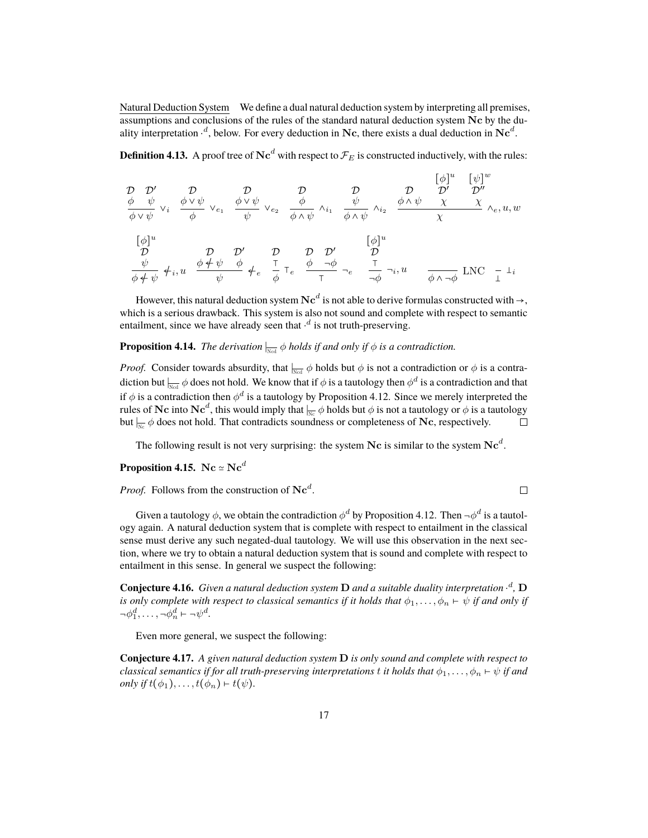Natural Deduction System We define a dual natural deduction system by interpreting all premises, assumptions and conclusions of the rules of the standard natural deduction system Nc by the duality interpretation  $\cdot^d$ , below. For every deduction in Nc, there exists a dual deduction in Nc<sup>d</sup>.

**Definition 4.13.** A proof tree of Nc<sup>d</sup> with respect to  $\mathcal{F}_E$  is constructed inductively, with the rules:

$$
\begin{array}{ccccccccc}\n\mathcal{D} & \mathcal{D}' & \mathcal{D} & \mathcal{D} & \mathcal{D} & \left[\phi\right]^u & \left[\psi\right]^w \\
\frac{\phi & \psi}{\phi \vee \psi} & \frac{\phi \vee \psi}{\phi} & \frac{\phi \vee \psi}{\psi} & \frac{\phi}{\phi \wedge \psi} & \frac{\phi}{\phi \wedge \psi} & \frac{\phi}{\phi \wedge \psi} & \frac{\phi}{\phi \wedge \psi} & \frac{\phi}{\phi \wedge \psi} & \frac{\phi}{\phi \wedge \psi} & \frac{\phi}{\phi \wedge \psi} & \frac{\phi}{\phi \wedge \psi} & \frac{\phi}{\phi \wedge \psi} & \frac{\phi}{\phi \wedge \psi} & \frac{\phi}{\phi \wedge \psi} & \frac{\phi}{\phi \wedge \psi} & \frac{\phi}{\phi \wedge \psi} & \frac{\phi}{\phi \wedge \psi} & \frac{\phi}{\phi \wedge \psi} & \frac{\phi}{\phi \wedge \psi} & \frac{\phi}{\phi \wedge \psi} & \frac{\phi}{\phi \wedge \psi} & \frac{\phi}{\phi \wedge \psi} & \frac{\phi}{\phi \wedge \psi} & \frac{\phi}{\phi \wedge \psi} & \frac{\phi}{\phi \wedge \psi} & \frac{\phi}{\phi \wedge \psi} & \frac{\phi}{\phi \wedge \psi} & \frac{\phi}{\phi \wedge \psi} & \frac{\phi}{\phi \wedge \psi} & \frac{\phi}{\phi \wedge \psi} & \frac{\phi}{\phi \wedge \psi} & \frac{\phi}{\phi \wedge \psi} & \frac{\phi}{\phi \wedge \psi} & \frac{\phi}{\phi \wedge \psi} & \frac{\phi}{\phi \wedge \psi} & \frac{\phi}{\phi \wedge \psi} & \frac{\phi}{\phi \wedge \psi} & \frac{\phi}{\phi \wedge \psi} & \frac{\phi}{\phi \wedge \psi} & \frac{\phi}{\phi \wedge \psi} & \frac{\phi}{\phi \wedge \psi} & \frac{\phi}{\phi \wedge \psi} & \frac{\phi}{\phi \wedge \psi} & \frac{\phi}{\phi \wedge \psi} & \frac{\phi}{\phi \wedge \psi} & \frac{\phi}{\phi \wedge \psi} & \frac{\phi}{\phi \wedge \psi} & \frac{\phi}{\phi \wedge \psi} & \frac{\phi}{\phi \wedge \psi} & \frac{\phi}{\phi \
$$

However, this natural deduction system  $\mathbf{Nc}^d$  is not able to derive formulas constructed with  $\rightarrow,$ which is a serious drawback. This system is also not sound and complete with respect to semantic entailment, since we have already seen that  $·<sup>d</sup>$  is not truth-preserving.

### **Proposition 4.14.** *The derivation*  $\Big|_{\text{Nod}} \phi$  *holds if and only if*  $\phi$  *is a contradiction.*

*Proof.* Consider towards absurdity, that  $\frac{1}{N\text{cd}}\phi$  holds but  $\phi$  is not a contradiction or  $\phi$  is a contradiction but  $|_{\!\!\frac{N}{N\!-\!d}}\phi$  does not hold. We know that if  $\phi$  is a tautology then  $\phi^d$  is a contradiction and that if  $\phi$  is a contradiction then  $\phi^d$  is a tautology by Proposition 4.12. Since we merely interpreted the rules of  $\bf{N}c$  into  $\bf{N}c^d,$  this would imply that  $|_{\overline{Nc}}\phi$  holds but  $\phi$  is not a tautology or  $\phi$  is a tautology but  $\frac{N}{Nc}$   $\phi$  does not hold. That contradicts soundness or completeness of Nc, respectively.  $\Box$ 

The following result is not very surprising: the system  $\bf{N}c$  is similar to the system  $\bf{N}c^d$ .

#### **Proposition 4.15.** Nc  $\simeq$  Nc<sup>d</sup>

*Proof.* Follows from the construction of  $\mathbf{Nc}^d$ .

 $\Box$ 

Given a tautology  $\phi$ , we obtain the contradiction  $\phi^d$  by Proposition 4.12. Then  $\neg\phi^d$  is a tautology again. A natural deduction system that is complete with respect to entailment in the classical sense must derive any such negated-dual tautology. We will use this observation in the next section, where we try to obtain a natural deduction system that is sound and complete with respect to entailment in this sense. In general we suspect the following:

**Conjecture 4.16.** *Given a natural deduction system* D *and a suitable duality interpretation* ⋅ d *,* D *is only complete with respect to classical semantics if it holds that*  $\phi_1, \ldots, \phi_n \vdash \psi$  *if and only if*  $\neg \phi_1^d, \dots, \neg \phi_n^d \vdash \neg \psi^d.$ 

Even more general, we suspect the following:

**Conjecture 4.17.** *A given natural deduction system* D *is only sound and complete with respect to classical semantics if for all truth-preserving interpretations* t *it holds that*  $\phi_1, \ldots, \phi_n \vdash \psi$  *if and only if*  $t(\phi_1), \ldots, t(\phi_n) \vdash t(\psi)$ .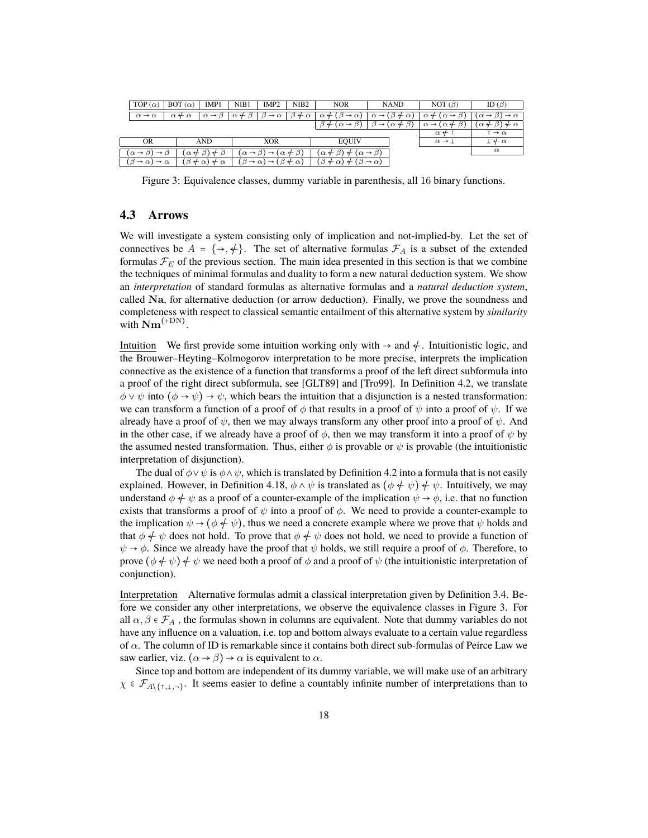| TOP $(\alpha)$                                        | $BOT(\alpha)$<br>IMP1                                | NIB1                  | IMP <sub>2</sub>                                                   | NIB <sub>2</sub>    | <b>NOR</b>                                              | <b>NAND</b>                                    | NOT $(\beta)$                                  | ID $(\beta)$                                         |
|-------------------------------------------------------|------------------------------------------------------|-----------------------|--------------------------------------------------------------------|---------------------|---------------------------------------------------------|------------------------------------------------|------------------------------------------------|------------------------------------------------------|
| $\alpha \rightarrow \alpha$                           | $\alpha \rightarrow \beta$<br>$\alpha \notin \alpha$ | $\alpha \notin \beta$ | $\rightarrow \alpha$                                               | $\beta \neq \alpha$ | $\alpha$ $\leftarrow$ ( $\beta$<br>$\rightarrow \alpha$ | $\alpha \rightarrow (\beta \leftarrow \alpha)$ | $(\alpha \rightarrow$<br>$\alpha$ $\leftarrow$ | $\rightarrow \alpha$<br>$\alpha \rightarrow \beta$ ) |
|                                                       |                                                      |                       |                                                                    |                     | $\beta$ + $\beta$<br>$(\alpha \rightarrow$              | $(\alpha +$<br>$\rightarrow$                   | $\alpha \rightarrow (\alpha$<br>$\leftarrow$   | $(\alpha \notin \beta)$<br>$+\alpha$                 |
|                                                       |                                                      |                       |                                                                    |                     |                                                         |                                                | $\alpha$ $\leftarrow$                          | $\rightarrow \alpha$                                 |
| OR                                                    | <b>AND</b>                                           |                       | <b>XOR</b>                                                         |                     | <b>EQUIV</b>                                            |                                                | $\alpha \rightarrow 1$                         | $+\alpha$                                            |
| $\alpha \rightarrow \beta$ )<br>$\rightarrow$ $\beta$ | $(\alpha \leftarrow \beta) \leftarrow \beta$         |                       | $(\alpha \rightarrow \beta) \rightarrow (\alpha \leftarrow \beta)$ | $\mathcal{D}$       | $(\alpha \neq \beta)$<br>$^{+}$                         | $(\alpha \rightarrow \beta)$                   |                                                | $\alpha$                                             |
| $(\beta \rightarrow \alpha)$<br>$\rightarrow \alpha$  | $(\beta \neq \alpha) \neq \alpha$                    |                       | $(\beta \rightarrow \alpha) \rightarrow (\beta \neq \alpha)$       |                     | $(\beta \neq \alpha) \neq (\beta \rightarrow \alpha)$   |                                                |                                                |                                                      |

Figure 3: Equivalence classes, dummy variable in parenthesis, all 16 binary functions.

#### **4.3 Arrows**

We will investigate a system consisting only of implication and not-implied-by. Let the set of connectives be  $A = \{\rightarrow, \neq\}$ . The set of alternative formulas  $\mathcal{F}_A$  is a subset of the extended formulas  $\mathcal{F}_E$  of the previous section. The main idea presented in this section is that we combine the techniques of minimal formulas and duality to form a new natural deduction system. We show an *interpretation* of standard formulas as alternative formulas and a *natural deduction system*, called Na, for alternative deduction (or arrow deduction). Finally, we prove the soundness and completeness with respect to classical semantic entailment of this alternative system by *similarity* with  $\mathbf{Nm}^{\text{(+DN)}}$ .

Intuition We first provide some intuition working only with  $\rightarrow$  and  $\neq$ . Intuitionistic logic, and the Brouwer–Heyting–Kolmogorov interpretation to be more precise, interprets the implication connective as the existence of a function that transforms a proof of the left direct subformula into a proof of the right direct subformula, see [GLT89] and [Tro99]. In Definition 4.2, we translate  $\phi \vee \psi$  into  $(\phi \rightarrow \psi) \rightarrow \psi$ , which bears the intuition that a disjunction is a nested transformation: we can transform a function of a proof of  $\phi$  that results in a proof of  $\psi$  into a proof of  $\psi$ . If we already have a proof of  $\psi$ , then we may always transform any other proof into a proof of  $\psi$ . And in the other case, if we already have a proof of  $\phi$ , then we may transform it into a proof of  $\psi$  by the assumed nested transformation. Thus, either  $\phi$  is provable or  $\psi$  is provable (the intuitionistic interpretation of disjunction).

The dual of  $\phi \vee \psi$  is  $\phi \wedge \psi$ , which is translated by Definition 4.2 into a formula that is not easily explained. However, in Definition 4.18,  $\phi \wedge \psi$  is translated as  $(\phi \neq \psi) \neq \psi$ . Intuitively, we may understand  $\phi \neq \psi$  as a proof of a counter-example of the implication  $\psi \rightarrow \phi$ , i.e. that no function exists that transforms a proof of  $\psi$  into a proof of  $\phi$ . We need to provide a counter-example to the implication  $\psi \rightarrow (\phi \phi \psi)$ , thus we need a concrete example where we prove that  $\psi$  holds and that  $\phi \neq \psi$  does not hold. To prove that  $\phi \neq \psi$  does not hold, we need to provide a function of  $\psi \rightarrow \phi$ . Since we already have the proof that  $\psi$  holds, we still require a proof of  $\phi$ . Therefore, to prove  $(\phi \notin \psi) \notin \psi$  we need both a proof of  $\phi$  and a proof of  $\psi$  (the intuitionistic interpretation of conjunction).

Interpretation Alternative formulas admit a classical interpretation given by Definition 3.4. Before we consider any other interpretations, we observe the equivalence classes in Figure 3. For all  $\alpha, \beta \in \mathcal{F}_A$ , the formulas shown in columns are equivalent. Note that dummy variables do not have any influence on a valuation, i.e. top and bottom always evaluate to a certain value regardless of  $\alpha$ . The column of ID is remarkable since it contains both direct sub-formulas of Peirce Law we saw earlier, viz.  $(\alpha \rightarrow \beta) \rightarrow \alpha$  is equivalent to  $\alpha$ .

Since top and bottom are independent of its dummy variable, we will make use of an arbitrary  $\chi \in \mathcal{F}_{A\setminus\{\tau,\bot,\neg\}}$ . It seems easier to define a countably infinite number of interpretations than to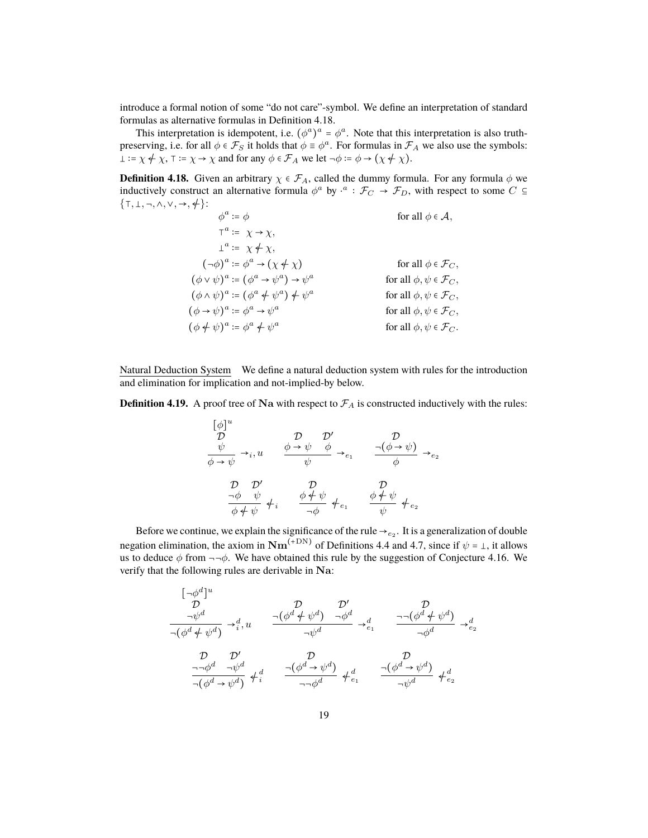introduce a formal notion of some "do not care"-symbol. We define an interpretation of standard formulas as alternative formulas in Definition 4.18.

This interpretation is idempotent, i.e.  $(\phi^a)^a = \phi^a$ . Note that this interpretation is also truthpreserving, i.e. for all  $\phi \in \mathcal{F}_S$  it holds that  $\phi \equiv \phi^a$ . For formulas in  $\mathcal{F}_A$  we also use the symbols:  $\bot := \chi \neq \chi$ ,  $\top := \chi \rightarrow \chi$  and for any  $\phi \in \mathcal{F}_A$  we let  $\neg \phi := \phi \rightarrow (\chi \neq \chi)$ .

**Definition 4.18.** Given an arbitrary  $\chi \in \mathcal{F}_A$ , called the dummy formula. For any formula  $\phi$  we inductively construct an alternative formula  $\phi^a$  by  $\cdot^a$  :  $\mathcal{F}_C \to \mathcal{F}_D$ , with respect to some  $C \subseteq$  $\{\top, \bot, \neg, \wedge, \vee, \rightarrow, \neq\}$ :

 $\phi^a$ for all  $\phi \in \mathcal{A}$ ,  $\tau^a := \chi \to \chi,$  $\bot^a \coloneqq \chi \neq \chi,$  $(\neg \phi)^a \coloneqq \phi$ for all  $\phi \in \mathcal{F}_C$ ,  $(\phi \lor \psi)^a := (\phi^a \to \psi^a) \to \psi^a$ for all  $\phi, \psi \in \mathcal{F}_C$ ,  $(\phi \wedge \psi)^a := (\phi^a \phi \psi^a) \phi^a$ for all  $\phi, \psi \in \mathcal{F}_C$ ,  $(\phi \rightarrow \psi)^a : = \phi^a \rightarrow \psi^a$ for all  $\phi, \psi \in \mathcal{F}_C$ ,  $(\phi \nleftrightarrow \psi)^a := \phi^a \nleftrightarrow \psi^a$ for all  $\phi, \psi \in \mathcal{F}_C$ .

Natural Deduction System We define a natural deduction system with rules for the introduction and elimination for implication and not-implied-by below.

**Definition 4.19.** A proof tree of Na with respect to  $\mathcal{F}_A$  is constructed inductively with the rules:

$$
\begin{array}{ccc}\n[\phi]^u & \mathcal{D} & \mathcal{D}' & \mathcal{D} \\
\psi & \rightarrow_i, u & \phi \rightarrow \psi & \phi \\
\hline\n\phi \rightarrow \psi & \psi & \psi\n\end{array}\n\rightarrow_{e_1} \qquad\n\begin{array}{ccc}\n\mathcal{D} & \mathcal{D}' & \mathcal{D} \\
\hline\n\phi & \rightarrow \psi & \phi \\
\hline\n\phi & \psi & \phi \\
\hline\n\phi & \phi\n\end{array}\n\rightarrow_{e_2}
$$

Before we continue, we explain the significance of the rule  $\rightarrow_{e_2}$ . It is a generalization of double negation elimination, the axiom in  $\mathbf{Nm}^{(+\mathrm{DN})}$  of Definitions 4.4 and 4.7, since if  $\psi$  =  $\bot$ , it allows us to deduce  $\phi$  from  $\neg\neg \phi$ . We have obtained this rule by the suggestion of Conjecture 4.16. We verify that the following rules are derivable in Na:

$$
\begin{array}{ccc}\n[\neg\phi^{d}]^{u} & \mathcal{D} & \mathcal{D}' & \mathcal{D} \\
\frac{\neg\psi^{d}}{-(\phi^{d} + \psi^{d})} & \to_{i}^{d}, u & \frac{\neg(\phi^{d} + \psi^{d}) & \neg\phi^{d}}{\neg\psi^{d}} & \to_{e_{1}}^{d} & \frac{\neg\neg(\phi^{d} + \psi^{d})}{\neg\phi^{d}} & \to_{e_{2}}^{d} \\
\frac{\mathcal{D}}{-(\phi^{d} + \psi^{d})} & \mathcal{D}' & \mathcal{D} & \mathcal{D} & \mathcal{D} \\
\frac{\neg\neg\phi^{d}}{-(\phi^{d} + \psi^{d})} & \oint_{i}^{d} & \frac{\neg(\phi^{d} + \psi^{d})}{\neg\phi^{d}} & \oint_{e_{1}}^{d} & \frac{\neg(\phi^{d} + \psi^{d})}{\neg\psi^{d}} & \oint_{e_{2}}^{d}\n\end{array}
$$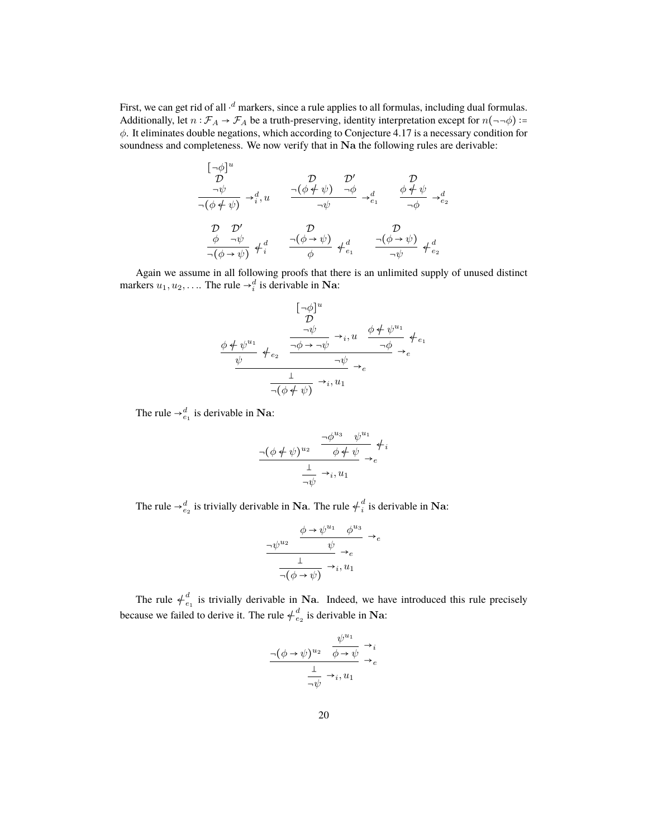First, we can get rid of all  $\cdot^d$  markers, since a rule applies to all formulas, including dual formulas. Additionally, let  $n : \mathcal{F}_A \to \mathcal{F}_A$  be a truth-preserving, identity interpretation except for  $n(\neg\neg\phi)$ := φ. It eliminates double negations, which according to Conjecture 4.17 is a necessary condition for soundness and completeness. We now verify that in Na the following rules are derivable:

$$
\begin{array}{ccc}\n\left[\begin{matrix} -\phi\end{matrix}\right]^u & \mathcal{D} & \mathcal{D}' & \mathcal{D} \\
\frac{-\psi}{\neg(\phi \neq \psi)} & \to_i^d, u & \frac{\neg(\phi \neq \psi) & \neg \phi}{\neg \psi} & \to_{e_1}^d & \frac{\phi \neq \psi}{\neg \phi} & \to_{e_2}^d \\
\frac{\mathcal{D}}{\neg(\phi \to \psi)} & \frac{\mathcal{D}}{\neg(\phi \to \psi)} & \downarrow_i^d & \frac{\neg(\phi \to \psi)}{\neg(\phi \to \psi)} & \downarrow_i^d & \frac{\neg(\phi \to \psi)}{\neg \psi} & \downarrow_i^d \\
\end{array}
$$

Again we assume in all following proofs that there is an unlimited supply of unused distinct markers  $u_1, u_2, \ldots$  The rule  $\rightarrow_i^d$  is derivable in Na:

$$
\begin{array}{ccc}\n&\left[\begin{matrix}\n-\phi\end{matrix}\right]^u & & & \\
&\mathcal{D} & & \\
&\frac{\neg\psi}{\neg\psi} & \rightarrow_i, u & \frac{\phi+\psi^{u_1}}{\neg\phi} & \leftarrow_{e_1} \\
&\frac{\psi}{\neg\psi} & \rightarrow_e & \frac{1}{\neg\psi} & \rightarrow_e \\
&\frac{1}{\neg(\phi+\psi)} & \rightarrow_i, u_1 & \n\end{array}
$$

The rule  $\rightarrow_{e_1}^d$  is derivable in Na:

$$
\frac{\neg(\phi \neq \psi)^{u_2} \quad \frac{\neg \phi^{u_3} \quad \psi^{u_1}}{\phi \neq \psi}}{\frac{\bot}{\neg \psi} \to_{i} u_1} \neq i
$$

The rule  $\rightarrow_{e_2}^d$  is trivially derivable in Na. The rule  $\neq_i^d$  is derivable in Na:

$$
\frac{\psi^{u_2} \quad \frac{\phi \to \psi^{u_1} \quad \phi^{u_3}}{\psi} \to_e}{\frac{1}{\neg(\phi \to \psi)} \to_i, u_1}
$$

The rule  $\neq_{e_1}^d$  is trivially derivable in Na. Indeed, we have introduced this rule precisely because we failed to derive it. The rule  $\neq_{e_2}^d$  is derivable in Na:

$$
\frac{\neg (\phi \to \psi)^{u_2} \quad \frac{\psi^{u_1}}{\phi \to \psi} \to_i}{\frac{1}{\neg \psi} \to_i, u_1}
$$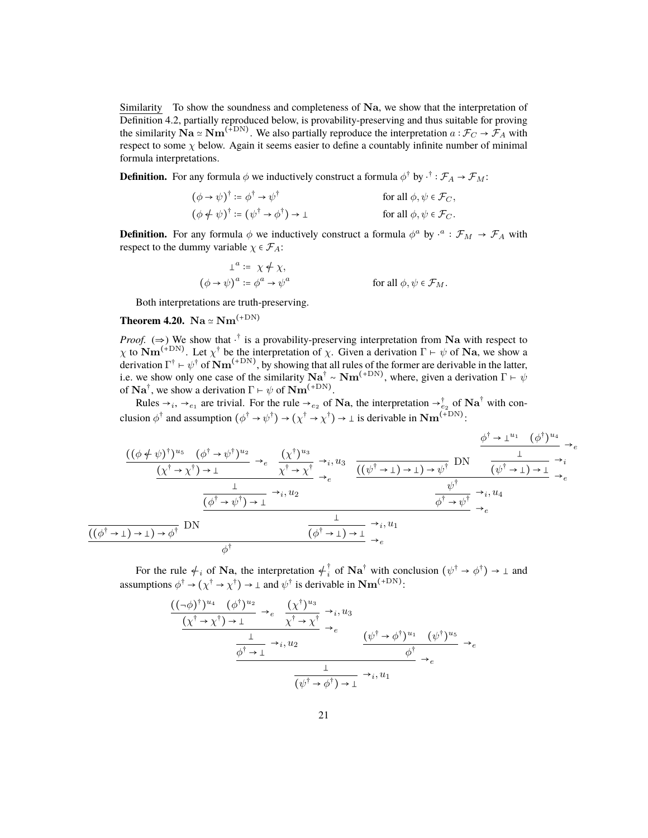Similarity To show the soundness and completeness of Na, we show that the interpretation of Definition 4.2, partially reproduced below, is provability-preserving and thus suitable for proving the similarity  $\mathbf{Na} \simeq \mathbf{Nm}^{(\mp \mathrm{DN})}$ . We also partially reproduce the interpretation  $a : \mathcal{F}_C \to \mathcal{F}_A$  with respect to some  $\chi$  below. Again it seems easier to define a countably infinite number of minimal formula interpretations.

**Definition.** For any formula  $\phi$  we inductively construct a formula  $\phi^{\dagger}$  by  $\cdot^{\dagger}$  :  $\mathcal{F}_A \to \mathcal{F}_M$ :

$$
(\phi \to \psi)^{\dagger} := \phi^{\dagger} \to \psi^{\dagger}
$$
 for all  $\phi, \psi \in \mathcal{F}_C$ ,  

$$
(\phi \notin \psi)^{\dagger} := (\psi^{\dagger} \to \phi^{\dagger}) \to \bot
$$
 for all  $\phi, \psi \in \mathcal{F}_C$ .

**Definition.** For any formula  $\phi$  we inductively construct a formula  $\phi^a$  by  $\cdot^a : \mathcal{F}_M \to \mathcal{F}_A$  with respect to the dummy variable  $\chi \in \mathcal{F}_A$ :

$$
\perp^{a} := \chi \neq \chi,
$$
  
\n
$$
(\phi \to \psi)^{a} := \phi^{a} \to \psi^{a}
$$
 for all  $\phi, \psi \in \mathcal{F}_M$ .

Both interpretations are truth-preserving.

### **Theorem 4.20.** Na  $\simeq$  Nm<sup>(+DN)</sup>

*Proof.* ( $\Rightarrow$ ) We show that  $\cdot^{\dagger}$  is a provability-preserving interpretation from Na with respect to  $\chi$  to  $\mathbf{Nm}^{(+DN)}$ . Let  $\chi^{\dagger}$  be the interpretation of  $\chi$ . Given a derivation  $\Gamma \vdash \psi$  of  $\mathbf{Na}$ , we show a derivation  $\Gamma^\dagger\vdash\psi^\dagger$  of  $\mathbf{Nm}^{(+\mathrm{DN})}$ , by showing that all rules of the former are derivable in the latter, i.e. we show only one case of the similarity  $\textbf{Na}^\dagger \sim \textbf{Nm}^{(+\text{DN})}$ , where, given a derivation  $\Gamma \vdash \psi$ of  $\mathbf{Na}^{\dagger}$ , we show a derivation  $\Gamma \vdash \psi$  of  $\mathbf{Nm}^{(+DN)}$ .

Rules  $\rightarrow_i, \rightarrow_{e_1}$  are trivial. For the rule  $\rightarrow_{e_2}$  of Na, the interpretation  $\rightarrow_{e_2}^{\dagger}$  of Na<sup>†</sup> with conclusion  $\phi^{\dagger}$  and assumption  $(\phi^{\dagger} \to \psi^{\dagger}) \to (\chi^{\dagger} \to \chi^{\dagger}) \to \bot$  is derivable in  $\mathbf{Nm}^{(+DN)}$ :

$$
\frac{((\phi + \psi)^{\dagger})^{u_{5}} \quad (\phi^{\dagger} \rightarrow \psi^{\dagger})^{u_{2}}}{(\chi^{\dagger} \rightarrow \chi^{\dagger}) \rightarrow \bot} \rightarrow_{e} \frac{(\chi^{\dagger})^{u_{3}}}{\chi^{\dagger} \rightarrow \chi^{\dagger}} \rightarrow_{i} u_{3} \quad \frac{\phi^{\dagger} \rightarrow \bot^{u_{1}} \quad (\phi^{\dagger})^{u_{4}}}{(\psi^{\dagger} \rightarrow \bot) \rightarrow \bot} \rightarrow_{i}^{i} \phi^{\dagger} \rightarrow \bot^{i} \phi^{\dagger} \rightarrow_{i} u_{4}}}{\frac{\frac{\bot}{(\phi^{\dagger} \rightarrow \psi^{\dagger}) \rightarrow \bot} \rightarrow_{i} u_{2}}{\frac{\bot}{(\phi^{\dagger} \rightarrow \psi^{\dagger}) \rightarrow \bot} \rightarrow_{i} u_{2}} \quad \frac{\psi^{\dagger}}{\phi^{\dagger} \rightarrow \psi^{\dagger}} \rightarrow_{i} u_{4}}{\frac{\psi^{\dagger}}{\phi^{\dagger} \rightarrow \psi^{\dagger}} \rightarrow_{e} \phi^{\dagger} \rightarrow_{i} u_{1}} \rightarrow_{e} \phi^{\dagger} \rightarrow_{i} u_{1}}
$$

For the rule  $\neq_i$  of Na, the interpretation  $\neq_i^{\dagger}$  of Na<sup>†</sup> with conclusion  $(\psi^{\dagger} \rightarrow \phi^{\dagger}) \rightarrow \bot$  and assumptions  $\phi^{\dagger} \to (\chi^{\dagger} \to \chi^{\dagger}) \to \perp$  and  $\psi^{\dagger}$  is derivable in  $\mathbf{Nm}^{(+DN)}$ :

$$
\frac{((\neg\phi)^{\dagger})^{u_4} (\phi^{\dagger})^{u_2}}{(\chi^{\dagger}\to\chi^{\dagger})\to\perp} \to_e \frac{(\chi^{\dagger})^{u_3}}{\chi^{\dagger}\to\chi^{\dagger}} \to_e
$$
\n
$$
\frac{(\chi^{\dagger}\to\chi^{\dagger})\to\perp}{\phi^{\dagger}\to\perp} \to_e \frac{(\psi^{\dagger}\to\phi^{\dagger})^{u_1} (\psi^{\dagger})^{u_5}}{\phi^{\dagger}\to\phi^{\dagger}} \to_e
$$
\n
$$
\frac{1}{(\psi^{\dagger}\to\phi^{\dagger})\to\perp} \to_i, u_1
$$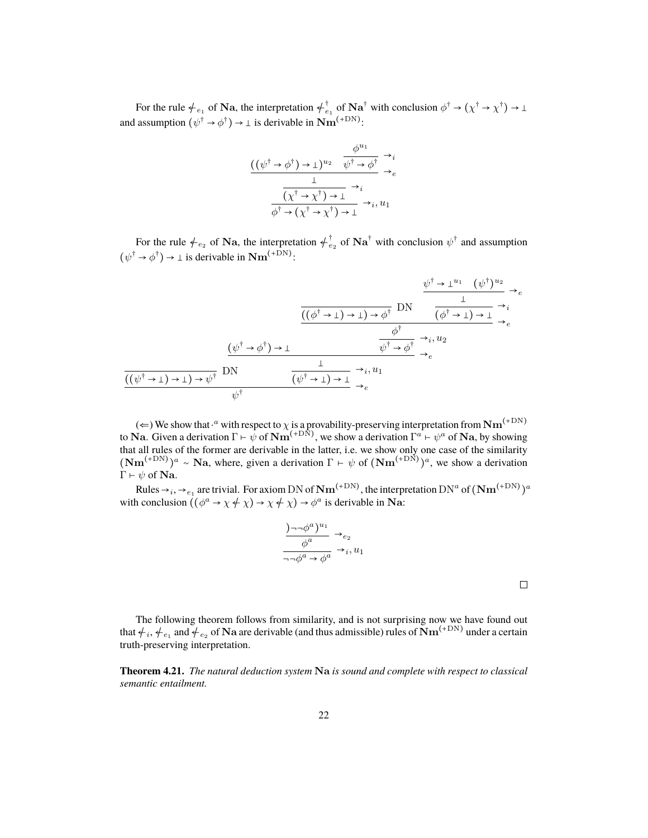For the rule  $\neq_{e_1}$  of Na, the interpretation  $\neq_{e_1}^{\dagger}$  of Na<sup>†</sup> with conclusion  $\phi^{\dagger} \rightarrow (\chi^{\dagger} \rightarrow \chi^{\dagger}) \rightarrow \bot$ and assumption  $(\psi^{\dagger} \rightarrow \phi^{\dagger}) \rightarrow \bot$  is derivable in  $\mathbf{Nm}^{(+\text{DN})}$ :

$$
\frac{(\psi^{\dagger} \to \phi^{\dagger}) \to \bot)^{u_2}}{\frac{1}{(\chi^{\dagger} \to \chi^{\dagger}) \to \bot} \to_{e}}
$$
\n
$$
\frac{\frac{1}{(\chi^{\dagger} \to \chi^{\dagger}) \to \bot} \to_{i}}{\phi^{\dagger} \to (\chi^{\dagger} \to \chi^{\dagger}) \to \bot} \to_{i}, u_1
$$

For the rule  $\neq_{e_2}$  of Na, the interpretation  $\neq_{e_2}^{\dagger}$  of Na<sup>†</sup> with conclusion  $\psi^{\dagger}$  and assumption  $(\psi^{\dagger} \rightarrow \phi^{\dagger}) \rightarrow \perp$  is derivable in  $\mathbf{Nm}^{(+DN)}$ :

$$
\frac{\psi^{\dagger} \to \perp^{u_1} (\psi^{\dagger})^{u_2}}{(\psi^{\dagger} \to \perp) \to \psi^{\dagger}} \to_{e}
$$
\n
$$
\frac{\frac{(\psi^{\dagger} \to \perp) \to \perp) \to \phi^{\dagger}}{(\psi^{\dagger} \to \psi^{\dagger}) \to \perp}}{\frac{\psi^{\dagger} \to \perp^{u_1} (\psi^{\dagger})^{u_2}}{\psi^{\dagger} \to \psi^{\dagger}} \to_{e}}
$$
\n
$$
\frac{\frac{(\psi^{\dagger} \to \phi^{\dagger}) \to \perp}{(\psi^{\dagger} \to \perp) \to \perp} \to_{e}}{\frac{\bot}{(\psi^{\dagger} \to \perp) \to \perp} \to_{e}}
$$
\n
$$
\frac{\frac{(\psi^{\dagger} \to \perp) \to \psi^{\dagger}}{(\psi^{\dagger} \to \perp) \to \perp} \to_{e}}{\psi^{\dagger}} \to_{e}
$$

(  $\Leftarrow$  ) We show that  $\cdot^a$  with respect to  $\chi$  is a provability-preserving interpretation from Nm<sup>(+DN)</sup> to Na. Given a derivation  $\Gamma \vdash \psi$  of  $\mathbf{Nm}^{(+\text{DN})}$ , we show a derivation  $\Gamma^a \vdash \psi^a$  of Na, by showing that all rules of the former are derivable in the latter, i.e. we show only one case of the similarity  $(\mathbf{Nm}^{(+DN)})^a \sim \mathbf{Na}$ , where, given a derivation  $\Gamma \vdash \psi$  of  $(\mathbf{Nm}^{(+DN)})^a$ , we show a derivation  $\Gamma \vdash \psi$  of Na.

Rules  $\to_i,\to_{e_1}$  are trivial. For axiom DN of  $\bf Nm^{(+DN)},$  the interpretation DN<sup>a</sup> of  $(\bf Nm^{(+DN)})^a$ with conclusion  $((\phi^a \to \chi \neq \chi) \to \chi \neq \chi) \to \phi^a$  is derivable in Na:

$$
\frac{\Delta^{-1}\phi^a u}{\phi^a \to e_2}\n\rightarrow e_2
$$
\n
$$
\frac{\phi^a}{\phi^a \to \phi^a} \to i, u_1
$$

 $\Box$ 

The following theorem follows from similarity, and is not surprising now we have found out that  $\#_i, \#_{e_1}$  and  $\#_{e_2}$  of  $\bf{Na}$  are derivable (and thus admissible) rules of  $\bf{Nm}^{(+DN)}$  under a certain truth-preserving interpretation.

**Theorem 4.21.** *The natural deduction system* Na *is sound and complete with respect to classical semantic entailment.*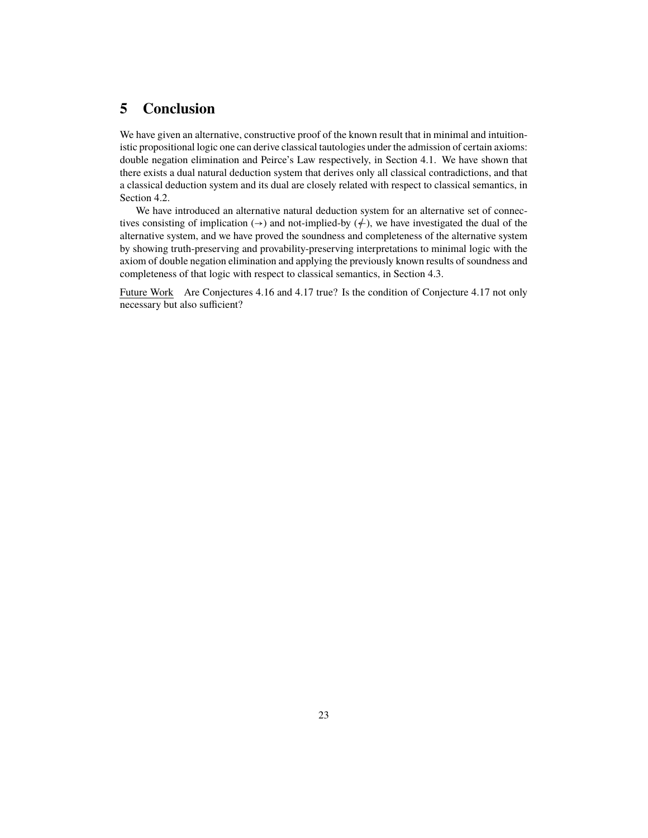## **5 Conclusion**

We have given an alternative, constructive proof of the known result that in minimal and intuitionistic propositional logic one can derive classical tautologies under the admission of certain axioms: double negation elimination and Peirce's Law respectively, in Section 4.1. We have shown that there exists a dual natural deduction system that derives only all classical contradictions, and that a classical deduction system and its dual are closely related with respect to classical semantics, in Section 4.2.

We have introduced an alternative natural deduction system for an alternative set of connectives consisting of implication  $(\rightarrow)$  and not-implied-by  $(\nleftrightarrow)$ , we have investigated the dual of the alternative system, and we have proved the soundness and completeness of the alternative system by showing truth-preserving and provability-preserving interpretations to minimal logic with the axiom of double negation elimination and applying the previously known results of soundness and completeness of that logic with respect to classical semantics, in Section 4.3.

Future Work Are Conjectures 4.16 and 4.17 true? Is the condition of Conjecture 4.17 not only necessary but also sufficient?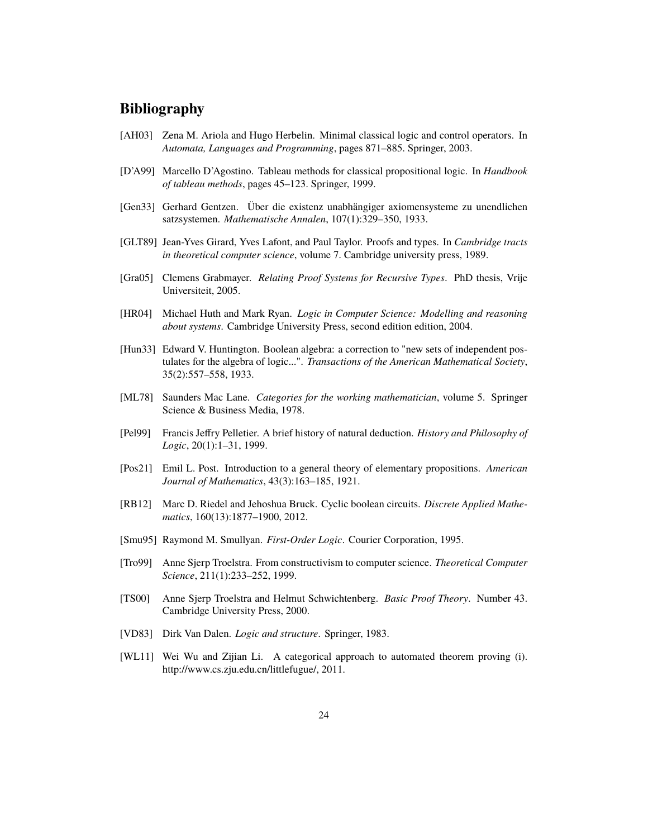### **Bibliography**

- [AH03] Zena M. Ariola and Hugo Herbelin. Minimal classical logic and control operators. In *Automata, Languages and Programming*, pages 871–885. Springer, 2003.
- [D'A99] Marcello D'Agostino. Tableau methods for classical propositional logic. In *Handbook of tableau methods*, pages 45–123. Springer, 1999.
- [Gen33] Gerhard Gentzen. Über die existenz unabhängiger axiomensysteme zu unendlichen satzsystemen. *Mathematische Annalen*, 107(1):329–350, 1933.
- [GLT89] Jean-Yves Girard, Yves Lafont, and Paul Taylor. Proofs and types. In *Cambridge tracts in theoretical computer science*, volume 7. Cambridge university press, 1989.
- [Gra05] Clemens Grabmayer. *Relating Proof Systems for Recursive Types*. PhD thesis, Vrije Universiteit, 2005.
- [HR04] Michael Huth and Mark Ryan. *Logic in Computer Science: Modelling and reasoning about systems*. Cambridge University Press, second edition edition, 2004.
- [Hun33] Edward V. Huntington. Boolean algebra: a correction to "new sets of independent postulates for the algebra of logic...". *Transactions of the American Mathematical Society*, 35(2):557–558, 1933.
- [ML78] Saunders Mac Lane. *Categories for the working mathematician*, volume 5. Springer Science & Business Media, 1978.
- [Pel99] Francis Jeffry Pelletier. A brief history of natural deduction. *History and Philosophy of Logic*, 20(1):1–31, 1999.
- [Pos21] Emil L. Post. Introduction to a general theory of elementary propositions. *American Journal of Mathematics*, 43(3):163–185, 1921.
- [RB12] Marc D. Riedel and Jehoshua Bruck. Cyclic boolean circuits. *Discrete Applied Mathematics*, 160(13):1877–1900, 2012.
- [Smu95] Raymond M. Smullyan. *First-Order Logic*. Courier Corporation, 1995.
- [Tro99] Anne Sjerp Troelstra. From constructivism to computer science. *Theoretical Computer Science*, 211(1):233–252, 1999.
- [TS00] Anne Sjerp Troelstra and Helmut Schwichtenberg. *Basic Proof Theory*. Number 43. Cambridge University Press, 2000.
- [VD83] Dirk Van Dalen. *Logic and structure*. Springer, 1983.
- [WL11] Wei Wu and Zijian Li. A categorical approach to automated theorem proving (i). http://www.cs.zju.edu.cn/littlefugue/, 2011.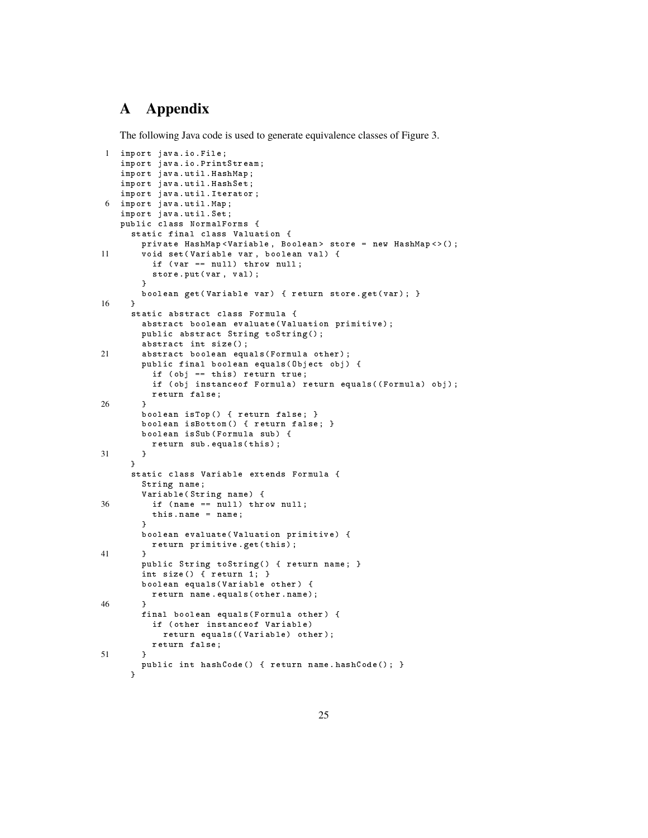# **A Appendix**

The following Java code is used to generate equivalence classes of Figure 3.

```
1 import java . io . File ;
   import java . io . PrintStream ;
    import java . util . HashMap ;
    import java . util . HashSet ;
   import java . util . Iterator ;
6 import java . util . Map ;
   import java . util . Set ;
   public class NormalForms {
      static final class Valuation {
        private HashMap < Variable , Boolean > store = new HashMap < >() ;
11 void set (Variable var, boolean val) {
          if (var == null) throw null;
          store.put (var, val);
        \overline{ }boolean get (Variable var) { return store . get ( var); }
16 }
      static abstract class Formula {
        abstract boolean evaluate (Valuation primitive);
        public abstract String toString () ;
        abstract int size () ;
21 abstract boolean equals (Formula other);
        public final boolean equals (Object obj) {
          if ( obj == this) return true;
          if ( obj instance of Formula ) return equals ( ( Formula ) obj );
          return false ;
26 }
        boolean isTop() { return false; }
        boolean isBottom () { return false; }
        boolean isSub (Formula sub) {
          return sub equals (this);
31 }
      }
      static class Variable extends Formula {
        String name ;
        Variable ( String name ) {
36 if (name == null) throw null;
          this . name = name;
        }
        boolean evaluate ( Valuation primitive ) {
          return primitive . get ( this );
41 }
        public String toString () { return name; }
        int size () { return 1; }
        boolean equals (Variable other) {
          return name . equals ( other . name );
46 }
        final boolean equals (Formula other) {
          if ( other instanceof Variable )
            return equals ((Variable) other);
          return false ;
51 }
        public int hashCode () { return name . hashCode (); }
      }
```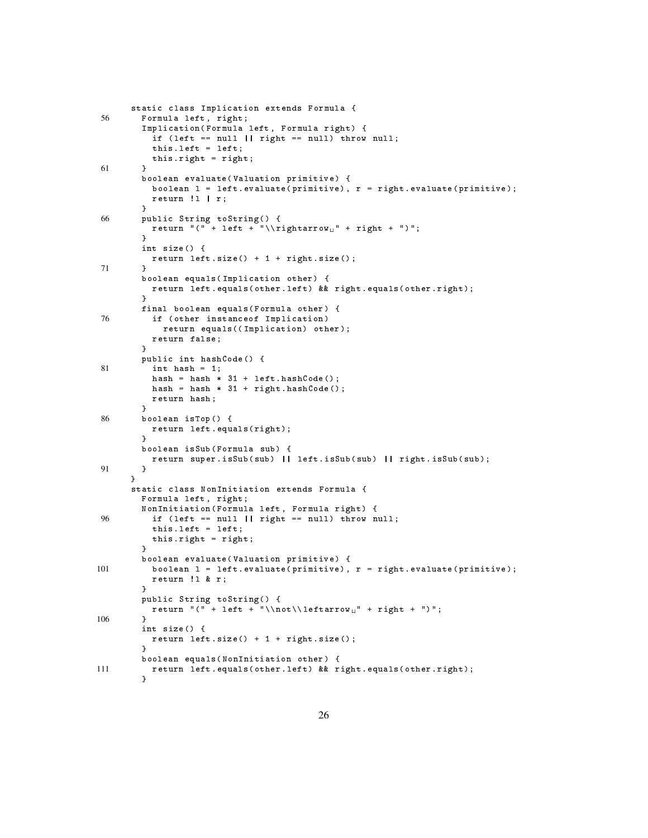```
static class Implication extends Formula {
56 Formula left, right;
        Implication (Formula left, Formula right) {
          if (left == null || right == null) throw null;
          this left = left;
          this . right = right ;
61 }
        boolean evaluate ( Valuation primitive ) {
          boolean 1 = left. evaluate (primitive), r = right. evaluate (primitive);
          return !l | r;
        }
66 public String toString () {
          return "(" + left + " \\\rightarrow" + right + ")";}
        int size () {
          return left.size() + 1 + right.size();
71 }
        boolean equals (Implication other) {
         return left . equals ( other . left ) && right . equals ( other . right );
        }
        final boolean equals (Formula other) {
76 if ( other instanceof Implication )
            return equals (( Implication ) other );
          return false ;
        }
        public int hashCode () {
81 int hash = 1;
          hash = hash * 31 + left.hashCode();
          hash = hash * 31 + right. hashCode();
          return hash ;
        }
86 boolean isTop () {
          return left . equals ( right );
        }
        boolean isSub (Formula sub) {
          return super . isSub ( sub ) || left . isSub ( sub ) || right . isSub ( sub );
91 }
      }
      static class NonInitiation extends Formula {
        Formula left, right;
        Non Initiation (Formula left, Formula right) {
96 if ( left == null || right == null ) throw null ;
          this. left = left;
          this . right = right ;
        }
        boolean evaluate ( Valuation primitive ) {
101 boolean 1 = left evaluate (primitive), r = right evaluate (primitive);
          return !l & r;
        }
        public String toString () {
          return "(" + left + "\\not\\leftarrow " + right + ")";
106
        int size () {
         return left . size () + 1 + right . size () ;
        }
        boolean equals ( NonInitiation other ) {
111 return left . equals ( other . left ) & & right . equals ( other . right );
         }
```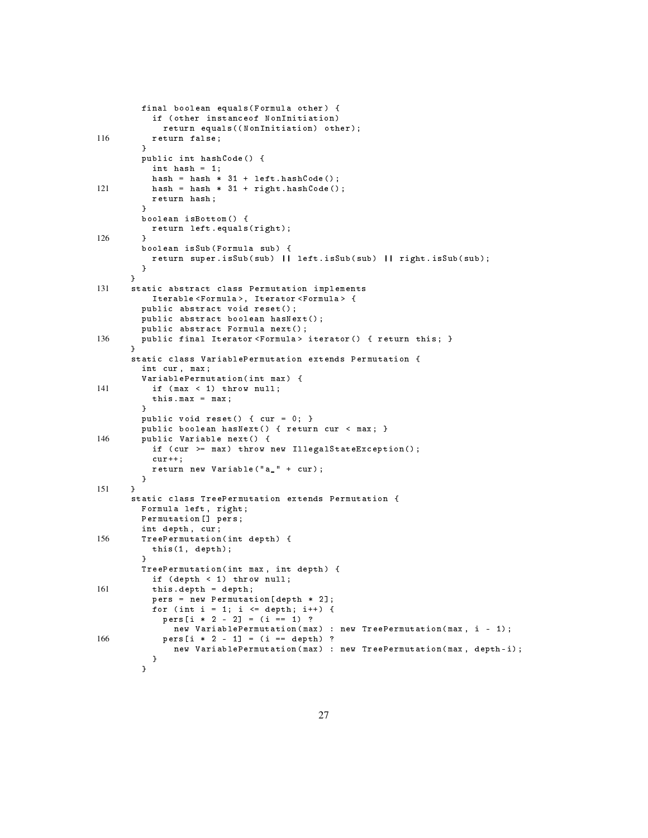```
final boolean equals (Formula other) {
          if ( other instanceof NonInitiation )
            return equals ((NonInitiation) other);
116 return false;
        }
        public int hashCode () {
          int hash = 1;
          hash = hash * 31 + left.hashCode();
121 hash = hash * 31 + right . hashCode ();
          return hash ;
        }
        boolean isBottom () {
          return left . equals ( right );
126 }
        boolean isSub (Formula sub) {
          return super . isSub ( sub ) || left . isSub ( sub ) || right . isSub ( sub );
        }
      }
131 static abstract class Permutation implements
         Iterable < Formula >, Iterator < Formula > {
        public abstract void reset();
        public abstract boolean hasNext () ;
        public abstract Formula next () ;
136 public final Iterator <Formula> iterator() { return this; }
      }
      static class VariablePermutation extends Permutation {
        int cur, max;
        VariablePermutation ( int max ) {
141 if (max < 1) throw null;
          this max = max;
        }
        public void reset() { cur = 0; }
        public boolean hasNext () { return cur < max; }
146 public Variable next() {
          if ( cur >= max ) throw new IllegalStateException () ;
          cur++;return new Variable ("a_" + cur);
        }
151 }
      static class TreePermutation extends Permutation {
        Formula left, right;
        Permutation [] pers ;
        int depth , cur ;
156 TreePermutation (int depth) {
          this (1, depth);
        }
        TreePermutation (int max, int depth) {
          if ( depth < 1) throw null ;
161 this . depth = depth;
          pers = new Permutation [ depth * 2];
          for (int i = 1; i \leq depth; i++) {
            pers[i * 2 - 2] = (i == 1)?
              new VariablePermutation (max) : new TreePermutation (max, i - 1);
166 pers [i * 2 - 1] = (i == depth) ?
              new VariablePermutation ( max ) : new TreePermutation ( max , depth -i);
          }
        }
```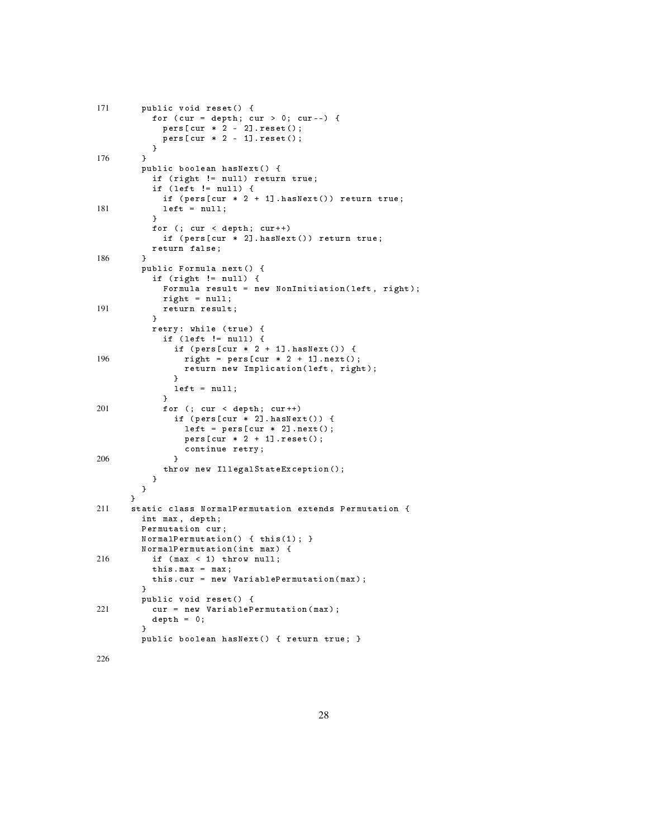| 171 | public void reset() {<br>for (cur = depth; cur > 0; cur--) {<br>$pers[cur * 2 - 2].reset();$<br>$pers[cur * 2 - 1].reset();$<br>}                                                           |
|-----|---------------------------------------------------------------------------------------------------------------------------------------------------------------------------------------------|
| 176 | ł<br>public boolean hasNext() {<br>if (right != null) return true;<br>if (left != null) {                                                                                                   |
| 181 | if (pers[cur $*$ 2 + 1].hasNext()) return true;<br>$left = null;$<br>J.<br>for $(j \text{ cur} < \text{depth}; \text{cur++})$<br>if (pers[cur * 2].hasNext()) return true;<br>return false; |
| 186 | ł<br>public Formula next() {<br>if (right != null) {<br>Formula result = new NonInitiation(left, right);<br>$right = null;$                                                                 |
| 191 | return result;<br>}<br>retry: while (true) {<br>if (left $!=$ null) {<br>if $(pers[cur * 2 + 1].hasNext())$ {                                                                               |
| 196 | right = pers [cur $*$ 2 + 1]. next();<br>return new Implication(left, right);<br>ŀ<br>$left = null;$<br>ł                                                                                   |
| 201 | for (; cur < depth; cur++)<br>if $(pers[cur * 2].hasNext())$ {<br>$left = pers[cur * 2].next()$ ;<br>$pers[cur * 2 + 1].reset();$<br>continue retry;                                        |
| 206 | ŀ<br>throw new IllegalStateException();<br>}<br>}<br>ŀ                                                                                                                                      |
| 211 | static class NormalPermutation extends Permutation {<br>int max, depth;<br>Permutation cur;<br>Normal Permutation $() \{ this(1); \}$<br>NormalPermutation (int max) {                      |
| 216 | if (max < 1) throw null;<br>this.max = $max$ ;<br>this.cur = new VariablePermutation(max);<br>ŀ<br>public void reset() {                                                                    |
| 221 | cur = new VariablePermutation (max);<br>$depth = 0;$<br>ł<br>public boolean hasNext() { return true; }                                                                                      |
|     |                                                                                                                                                                                             |

226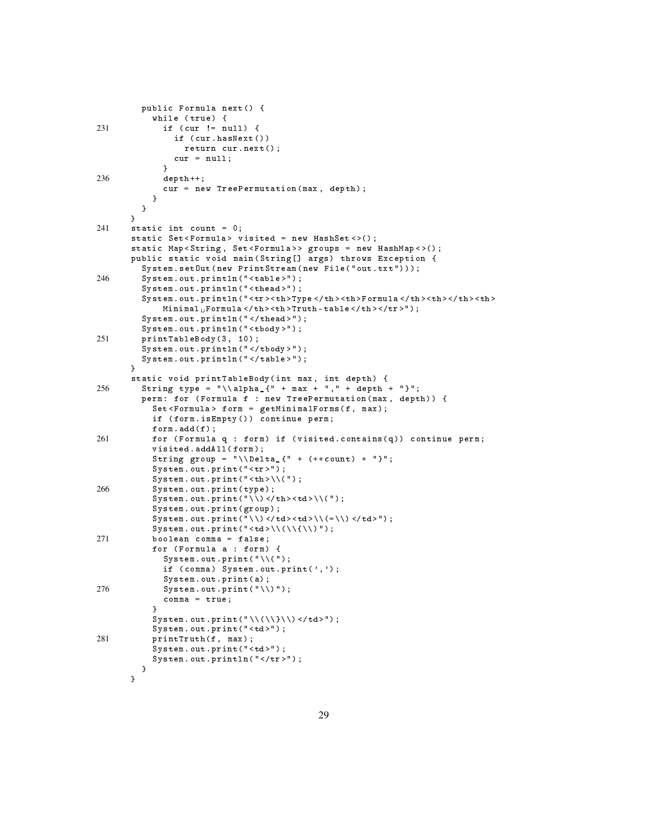```
public Formula next () {
           while (true) {
231 if ( cur != null ) {
                if ( cur . hasNext( ) )
                 return cur . next () ;
                cur = null ;
             }
236 depth ++;
             cur = new TreePermutation (max, depth);
           }
         }
       }
241 static int count = 0;
       static Set<Formula> visited = new HashSet<>();
       static Map<String, Set<Formula>> groups = new HashMap <> ();
       public static void main ( String [] args ) throws Exception {
         System.setOut (new PrintStream (new File ("out.txt")));
246 System . out . println ( " < table >");
         System.out.println("<thead>");
         System.out.println("<tr><th>Type</th><th>Formula</th><th></th></th><th>
             \mathtt{Minimal_UFormula}</br>\mathtt{Nhd} > \mathtt{th}\mathtt{>>} th \mathtt{N} - \mathtt{table} </br>//th \mathtt{>}< /tr \mathtt{>''} ) ;
         System.out.println("</thead>");
         System . out . println ( " < tbody >");
251 printTableBody (3, 10);
         System . out . println ( " </ tbody >") ;
         System.out.println("</table>");
       }
       static void printTableBody ( int max , int depth ) {
256 String type = "\lambda_{1} + max + "," + depth + "}";
         perm: for (Formula f : new TreePermutation (max, depth)) {
           Set < Formula > form = getMinimalForms (f , max );
           if ( form . isEmpty () ) continue perm ;
           form.add(f);
261 for (Formula q : form) if (visited contains (q)) continue perm;
           visited.addAll(form);
           String group = "\ \Omega_{" + (++ count) + "\}";
           System.out.print ("<tr>");
           System.out.print ("<br>\n');
266 System . out . print ( type );
           System.out.print("\\) </th><td>\\(");
           System.out.print (group);
           System.out.print("\\)</td><td>\\(=\\)</td>");
           System.out.print("<td>\\(\\{\\)");
271 boolean comma = false ;
           for (Formula a : form) {
             System.out.print(\sqrt[n]{(n)};
             if ( comm) System. out. print(', ');System . out . print (a);
276 System.out.print(\sqrt{N});
             comma = true ;
           }
           System.out.print("\\(\\}\\) </td>");
           System.out.print ("<td>");
281 printTruth (f, max);
           System.out.print ("<td>");
           System.out.println("</tr>");
         }
       }
```